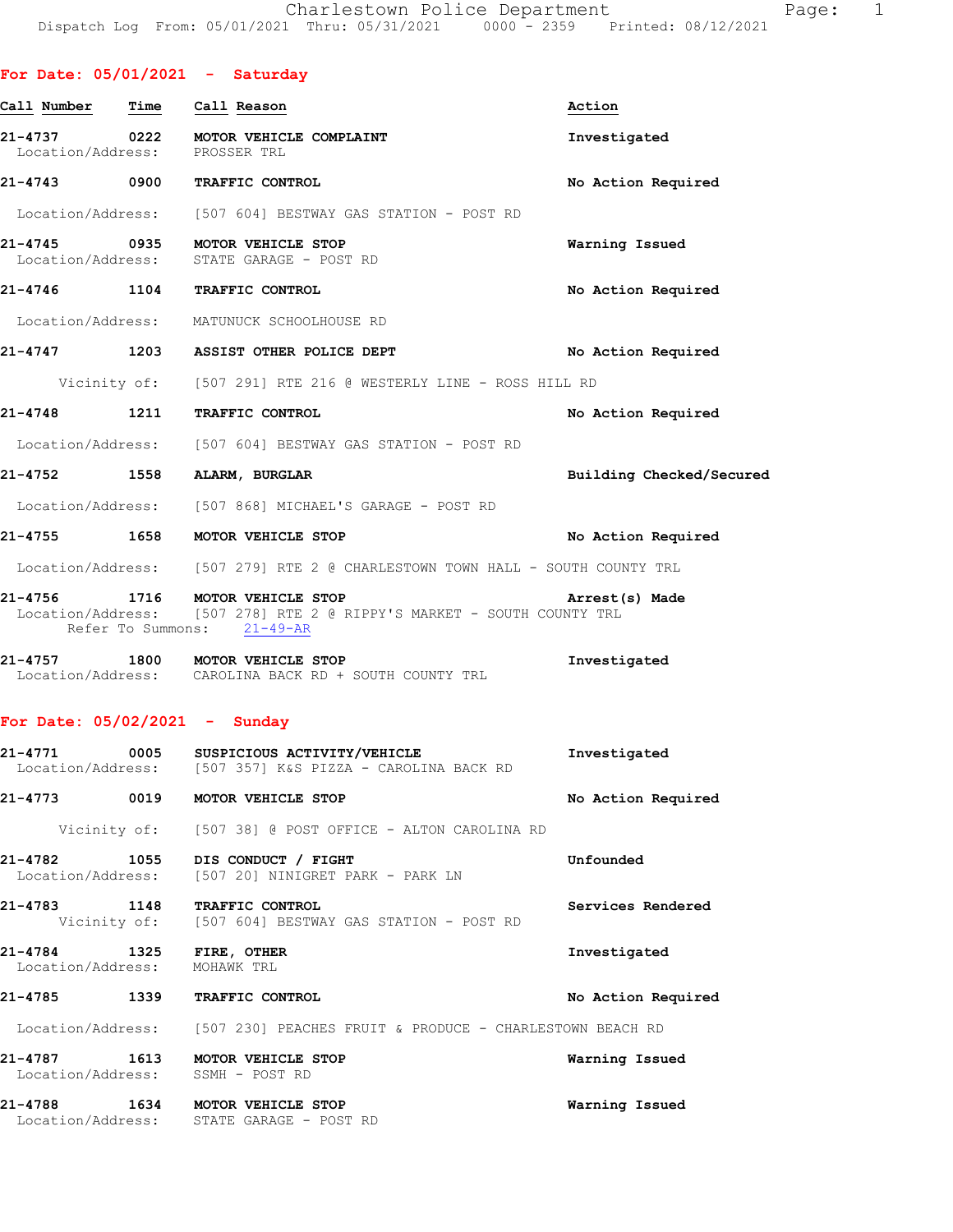|                                         |      | For Date: $05/01/2021$ - Saturday                                                                                                      |                          |
|-----------------------------------------|------|----------------------------------------------------------------------------------------------------------------------------------------|--------------------------|
| Call Number Time Call Reason            |      |                                                                                                                                        | Action                   |
| Location/Address: PROSSER TRL           |      | 21-4737 0222 MOTOR VEHICLE COMPLAINT                                                                                                   | Investigated             |
|                                         |      | 21-4743 0900 TRAFFIC CONTROL                                                                                                           | No Action Required       |
|                                         |      | Location/Address: [507 604] BESTWAY GAS STATION - POST RD                                                                              |                          |
|                                         |      | 21-4745 0935 MOTOR VEHICLE STOP<br>Location/Address: STATE GARAGE - POST RD                                                            | Warning Issued           |
|                                         |      | 21-4746 1104 TRAFFIC CONTROL                                                                                                           | No Action Required       |
|                                         |      | Location/Address: MATUNUCK SCHOOLHOUSE RD                                                                                              |                          |
|                                         |      | 21-4747 1203 ASSIST OTHER POLICE DEPT                                                                                                  | No Action Required       |
|                                         |      | Vicinity of: [507 291] RTE 216 @ WESTERLY LINE - ROSS HILL RD                                                                          |                          |
|                                         |      | 21-4748 1211 TRAFFIC CONTROL                                                                                                           | No Action Required       |
|                                         |      | Location/Address: [507 604] BESTWAY GAS STATION - POST RD                                                                              |                          |
|                                         |      | 21-4752 1558 ALARM, BURGLAR                                                                                                            | Building Checked/Secured |
|                                         |      | Location/Address: [507 868] MICHAEL'S GARAGE - POST RD                                                                                 |                          |
|                                         |      | 21-4755 1658 MOTOR VEHICLE STOP                                                                                                        | No Action Required       |
|                                         |      | Location/Address: [507 279] RTE 2 @ CHARLESTOWN TOWN HALL - SOUTH COUNTY TRL                                                           |                          |
|                                         |      | 21-4756 1716 MOTOR VEHICLE STOP<br>Location/Address: [507 278] RTE 2 @ RIPPY'S MARKET - SOUTH COUNTY TRL<br>Refer To Summons: 21-49-AR | Arrest(s) Made           |
|                                         |      | 21-4757 1800 MOTOR VEHICLE STOP<br>Location/Address: CAROLINA BACK RD + SOUTH COUNTY TRL                                               | Investigated             |
| For Date: $05/02/2021 -$ Sunday         |      |                                                                                                                                        |                          |
|                                         |      | Location/Address: [507 357] K&S PIZZA - CAROLINA BACK RD                                                                               | Investigated             |
| 21-4773                                 | 0019 | MOTOR VEHICLE STOP                                                                                                                     | No Action Required       |
|                                         |      | Vicinity of: [507 38] @ POST OFFICE - ALTON CAROLINA RD                                                                                |                          |
| 21-4782                                 |      | 1055 DIS CONDUCT / FIGHT<br>Location/Address: [507 20] NINIGRET PARK - PARK LN                                                         | Unfounded                |
| 21-4783                                 |      | 1148 TRAFFIC CONTROL<br>Vicinity of: [507 604] BESTWAY GAS STATION - POST RD                                                           | Services Rendered        |
| 21-4784<br>Location/Address: MOHAWK TRL |      | 1325 FIRE, OTHER                                                                                                                       | Investigated             |
| $21 - 4785$                             |      | <b>1339 TRAFFIC CONTROL</b>                                                                                                            | No Action Required       |

Location/Address: [507 230] PEACHES FRUIT & PRODUCE - CHARLESTOWN BEACH RD

**21-4787 1613 MOTOR VEHICLE STOP Warning Issued**  Location/Address: SSMH - POST RD

**21-4788 1634 MOTOR VEHICLE STOP Warning Issued**  Location/Address: STATE GARAGE - POST RD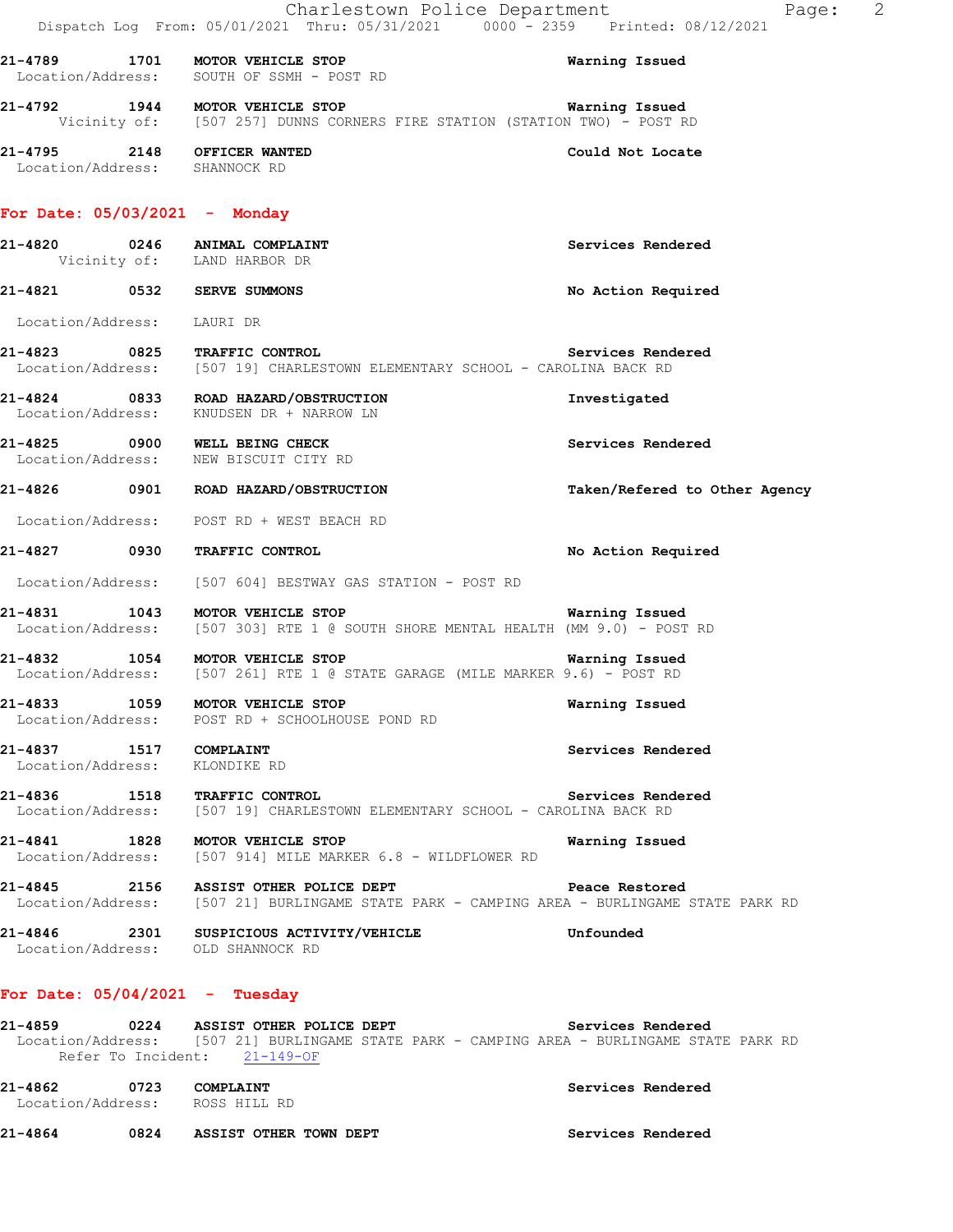|                                                              | Charlestown Police Department<br>Dispatch Log From: 05/01/2021 Thru: 05/31/2021 0000 - 2359 Printed: 08/12/2021                                                     | Page:                         | $\overline{\phantom{0}}^2$ |
|--------------------------------------------------------------|---------------------------------------------------------------------------------------------------------------------------------------------------------------------|-------------------------------|----------------------------|
|                                                              | 21-4789 1701 MOTOR VEHICLE STOP<br>Location/Address: SOUTH OF SSMH - POST RD                                                                                        | Warning Issued                |                            |
|                                                              | 21-4792 1944 MOTOR VEHICLE STOP<br>Vicinity of: [507 257] DUNNS CORNERS FIRE STATION (STATION TWO) - POST RD                                                        | Warning Issued                |                            |
| 21-4795 2148 OFFICER WANTED<br>Location/Address: SHANNOCK RD |                                                                                                                                                                     | Could Not Locate              |                            |
| For Date: $05/03/2021$ - Monday                              |                                                                                                                                                                     |                               |                            |
|                                                              | 21-4820 0246 ANIMAL COMPLAINT<br>Vicinity of: LAND HARBOR DR                                                                                                        | Services Rendered             |                            |
| 21-4821 0532 SERVE SUMMONS                                   |                                                                                                                                                                     | No Action Required            |                            |
| Location/Address: LAURI DR                                   |                                                                                                                                                                     |                               |                            |
|                                                              | 21-4823 0825 TRAFFIC CONTROL<br>Location/Address: [507 19] CHARLESTOWN ELEMENTARY SCHOOL - CAROLINA BACK RD                                                         | Services Rendered             |                            |
|                                                              | 21-4824 0833 ROAD HAZARD/OBSTRUCTION<br>Location/Address: KNUDSEN DR + NARROW LN                                                                                    | Investigated                  |                            |
|                                                              | 21-4825 0900 WELL BEING CHECK<br>Location/Address: NEW BISCUIT CITY RD                                                                                              | Services Rendered             |                            |
|                                                              | 21-4826 0901 ROAD HAZARD/OBSTRUCTION                                                                                                                                | Taken/Refered to Other Agency |                            |
|                                                              | Location/Address: POST RD + WEST BEACH RD                                                                                                                           |                               |                            |
| 21-4827 0930 TRAFFIC CONTROL                                 |                                                                                                                                                                     | No Action Required            |                            |
|                                                              | Location/Address: [507 604] BESTWAY GAS STATION - POST RD                                                                                                           |                               |                            |
|                                                              | 21-4831 1043 MOTOR VEHICLE STOP Narning Issued<br>Location/Address: [507 303] RTE 1 @ SOUTH SHORE MENTAL HEALTH (MM 9.0) - POST RD                                  |                               |                            |
|                                                              | 21-4832 1054 MOTOR VEHICLE STOP<br>Location/Address: [507 261] RTE 1 @ STATE GARAGE (MILE MARKER 9.6) - POST RD                                                     | Warning Issued                |                            |
|                                                              | 21-4833 1059 MOTOR VEHICLE STOP<br>Location/Address: POST RD + SCHOOLHOUSE POND RD                                                                                  | Warning Issued                |                            |
| 21-4837 1517 COMPLAINT<br>Location/Address: KLONDIKE RD      |                                                                                                                                                                     | Services Rendered             |                            |
|                                                              | 21-4836 1518 TRAFFIC CONTROL<br>Location/Address: [507 19] CHARLESTOWN ELEMENTARY SCHOOL - CAROLINA BACK RD                                                         | Services Rendered             |                            |
|                                                              | 21-4841 1828 MOTOR VEHICLE STOP<br>Location/Address: [507 914] MILE MARKER 6.8 - WILDFLOWER RD                                                                      | Warning Issued                |                            |
|                                                              | 21-4845 2156 ASSIST OTHER POLICE DEPT<br>Location/Address: [507 21] BURLINGAME STATE PARK - CAMPING AREA - BURLINGAME STATE PARK RD                                 | Peace Restored                |                            |
| Location/Address: OLD SHANNOCK RD                            | 21-4846 2301 SUSPICIOUS ACTIVITY/VEHICLE                                                                                                                            | Unfounded                     |                            |
| For Date: $05/04/2021$ - Tuesday                             |                                                                                                                                                                     |                               |                            |
|                                                              | 21-4859 0224 ASSIST OTHER POLICE DEPT<br>Location/Address: [507 21] BURLINGAME STATE PARK - CAMPING AREA - BURLINGAME STATE PARK RD<br>Refer To Incident: 21-149-OF | Services Rendered             |                            |

**21-4862 0723 COMPLAINT Services Rendered**  Location/Address: ROSS HILL RD **21-4864 0824 ASSIST OTHER TOWN DEPT Services Rendered**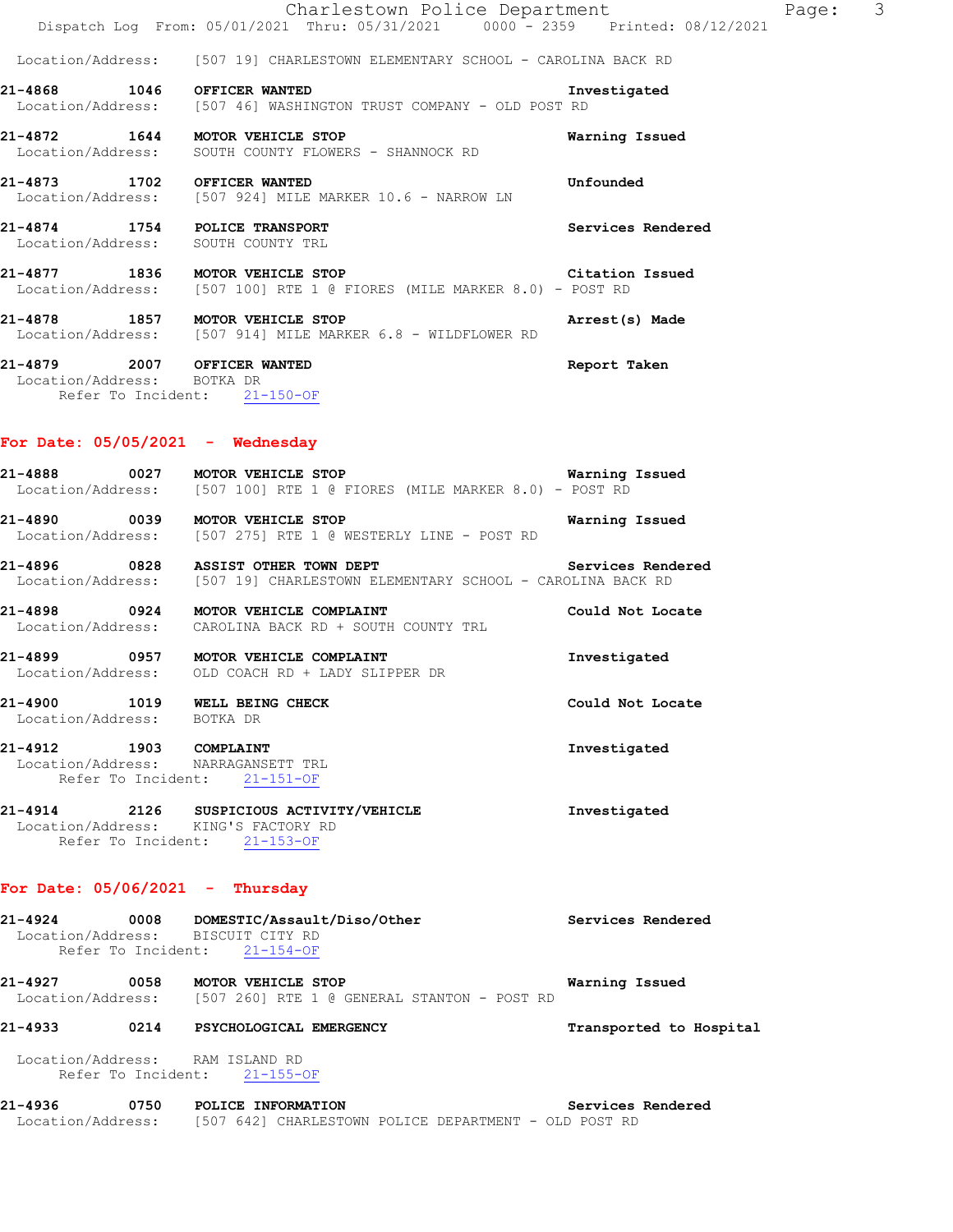|                                                                                           | Charlestown Police Department                                                                                                                            |                   |
|-------------------------------------------------------------------------------------------|----------------------------------------------------------------------------------------------------------------------------------------------------------|-------------------|
|                                                                                           | Dispatch Log From: 05/01/2021 Thru: 05/31/2021 0000 - 2359 Printed: 08/12/2021                                                                           |                   |
|                                                                                           | Location/Address: [507 19] CHARLESTOWN ELEMENTARY SCHOOL - CAROLINA BACK RD                                                                              |                   |
| 21-4868 1046 OFFICER WANTED                                                               | Location/Address: [507 46] WASHINGTON TRUST COMPANY - OLD POST RD                                                                                        | Investigated      |
| 21-4872 1644 MOTOR VEHICLE STOP                                                           | Location/Address: SOUTH COUNTY FLOWERS - SHANNOCK RD                                                                                                     | Warning Issued    |
| 21-4873 1702 OFFICER WANTED                                                               | Location/Address: [507 924] MILE MARKER 10.6 - NARROW LN                                                                                                 | Unfounded         |
| 21-4874 1754 POLICE TRANSPORT<br>Location/Address: SOUTH COUNTY TRL                       |                                                                                                                                                          | Services Rendered |
|                                                                                           | 21-4877 1836 MOTOR VEHICLE STOP STORES AND RESIDENT SERIES OF A STORE STORES<br>  Location/Address: [507 100] RTE 1 @ FIORES (MILE MARKER 8.0) - POST RD |                   |
| 21-4878 1857 MOTOR VEHICLE STOP                                                           | Location/Address: [507 914] MILE MARKER 6.8 - WILDFLOWER RD                                                                                              | Arrest(s) Made    |
| 21-4879 2007 OFFICER WANTED<br>Location/Address: BOTKA DR<br>Refer To Incident: 21-150-OF |                                                                                                                                                          | Report Taken      |

### **For Date: 05/05/2021 - Wednesday**

**21-4888 0027 MOTOR VEHICLE STOP Warning Issued**  Location/Address: [507 100] RTE 1 @ FIORES (MILE MARKER 8.0) - POST RD

**21-4890 0039 MOTOR VEHICLE STOP Warning Issued**  Location/Address: [507 275] RTE 1 @ WESTERLY LINE - POST RD

**21-4896 0828 ASSIST OTHER TOWN DEPT Services Rendered**  Location/Address: [507 19] CHARLESTOWN ELEMENTARY SCHOOL - CAROLINA BACK RD

**21-4898 0924 MOTOR VEHICLE COMPLAINT Could Not Locate**  Location/Address: CAROLINA BACK RD + SOUTH COUNTY TRL

**21-4899 0957 MOTOR VEHICLE COMPLAINT Investigated**  Location/Address: OLD COACH RD + LADY SLIPPER DR

**21-4900 1019 WELL BEING CHECK Could Not Locate**  Location/Address: BOTKA DR

**21-4912 1903 COMPLAINT Investigated**  Location/Address: NARRAGANSETT TRL Refer To Incident: 21-151-OF

**21-4914 2126 SUSPICIOUS ACTIVITY/VEHICLE Investigated**  Location/Address: KING'S FACTORY RD Refer To Incident: 21-153-OF

### **For Date: 05/06/2021 - Thursday**

| 21-4924                      | 0008  | DOMESTIC/Assault/Diso/Other<br>Location/Address: BISCUIT CITY RD<br>Refer To Incident: 21-154-OF | Services Rendered          |
|------------------------------|-------|--------------------------------------------------------------------------------------------------|----------------------------|
| 21-4927<br>Location/Address: | 0058  | <b>MOTOR VEHICLE STOP</b><br>[507 260] RTE 1 @ GENERAL STANTON - POST RD                         | Warning Issued             |
| 21-4933                      | 0214  | PSYCHOLOGICAL EMERGENCY                                                                          | Transported to Hospital    |
| Location/Address:            |       | RAM ISLAND RD<br>Refer To Incident: 21-155-OF                                                    |                            |
| $\sim$ $\sim$                | 0.750 | $PQT = S$ $T = T$                                                                                | Accept the Common Accept A |

**21-4936 0750 POLICE INFORMATION Services Rendered**  Location/Address: [507 642] CHARLESTOWN POLICE DEPARTMENT - OLD POST RD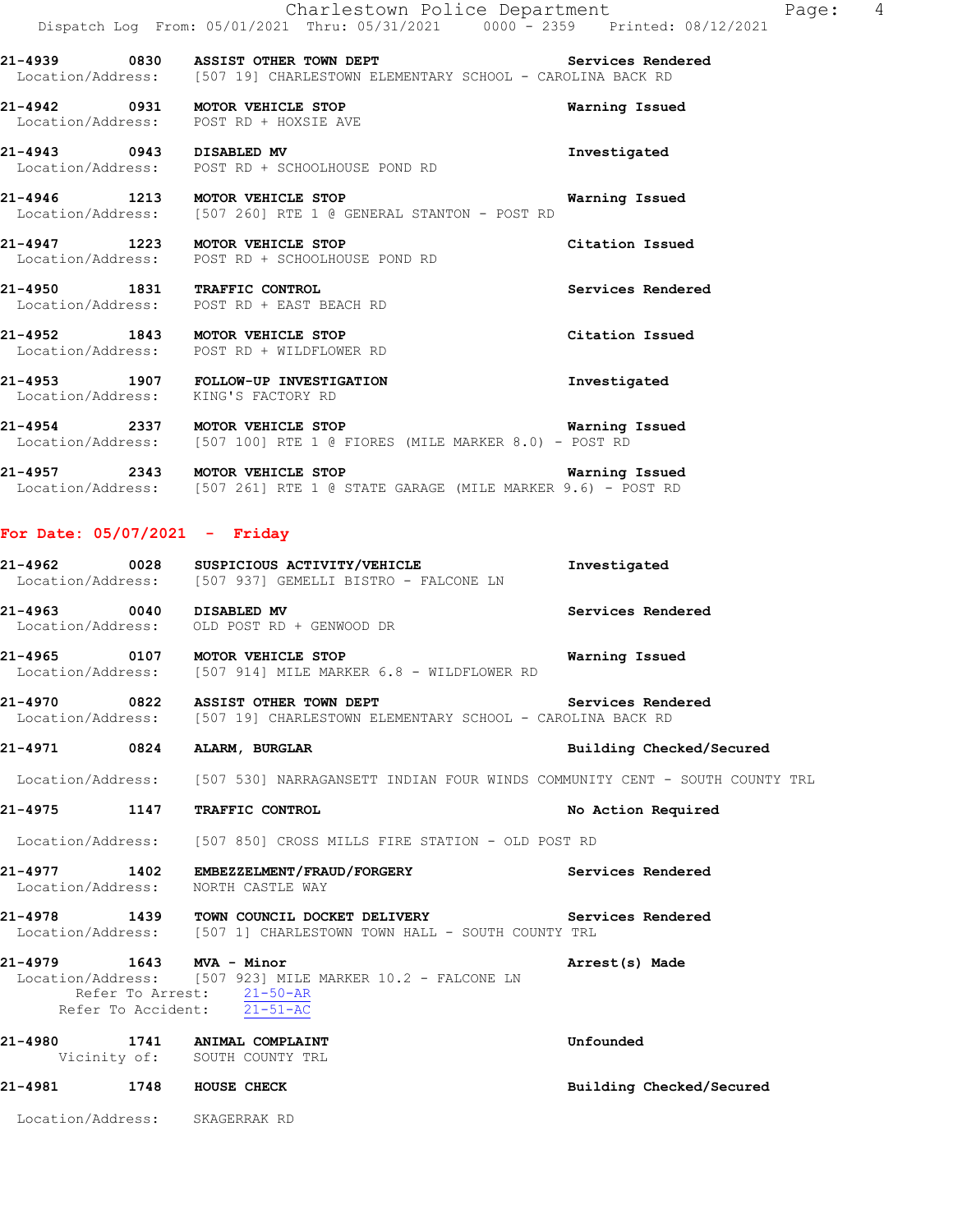**21-4939 0830 ASSIST OTHER TOWN DEPT Services Rendered**  Location/Address: [507 19] CHARLESTOWN ELEMENTARY SCHOOL - CAROLINA BACK RD

**21-4942 0931 MOTOR VEHICLE STOP Warning Issued**  Location/Address: POST RD + HOXSIE AVE

**21-4943 0943 DISABLED MV Investigated**  Location/Address: POST RD + SCHOOLHOUSE POND RD

**21-4946 1213 MOTOR VEHICLE STOP Warning Issued**  Location/Address: [507 260] RTE 1 @ GENERAL STANTON - POST RD

**21-4947 1223 MOTOR VEHICLE STOP Citation Issued**  Location/Address: POST RD + SCHOOLHOUSE POND RD

**21-4950 1831 TRAFFIC CONTROL Services Rendered**  Location/Address: POST RD + EAST BEACH RD

**21-4952 1843 MOTOR VEHICLE STOP Citation Issued**  Location/Address: POST RD + WILDFLOWER RD

**21-4953 1907 FOLLOW-UP INVESTIGATION Investigated**  Location/Address: KING'S FACTORY RD

**21-4954 2337 MOTOR VEHICLE STOP Warning Issued**  Location/Address: [507 100] RTE 1 @ FIORES (MILE MARKER 8.0) - POST RD

**21-4957 2343 MOTOR VEHICLE STOP Warning Issued**  Location/Address: [507 261] RTE 1 @ STATE GARAGE (MILE MARKER 9.6) - POST RD

### **For Date: 05/07/2021 - Friday**

|                                                                                      | 21-4962 0028 SUSPICIOUS ACTIVITY/VEHICLE<br>Location/Address: [507 937] GEMELLI BISTRO - FALCONE LN                                  | Investigated             |
|--------------------------------------------------------------------------------------|--------------------------------------------------------------------------------------------------------------------------------------|--------------------------|
|                                                                                      | 21-4963 0040 DISABLED MV<br>Location/Address: OLD POST RD + GENWOOD DR                                                               | Services Rendered        |
|                                                                                      | Location/Address: [507 914] MILE MARKER 6.8 - WILDFLOWER RD                                                                          |                          |
|                                                                                      | 21-4970 0822 ASSIST OTHER TOWN DEPT SERVICES Rendered<br>Location/Address: [507 19] CHARLESTOWN ELEMENTARY SCHOOL - CAROLINA BACK RD |                          |
| 21-4971 0824 ALARM, BURGLAR                                                          |                                                                                                                                      | Building Checked/Secured |
|                                                                                      | Location/Address: [507 530] NARRAGANSETT INDIAN FOUR WINDS COMMUNITY CENT - SOUTH COUNTY TRL                                         |                          |
| 21-4975 1147                                                                         | TRAFFIC CONTROL                                                                                                                      | No Action Required       |
|                                                                                      | Location/Address: [507 850] CROSS MILLS FIRE STATION - OLD POST RD                                                                   |                          |
| Location/Address: NORTH CASTLE WAY                                                   | 21-4977 1402 EMBEZZELMENT/FRAUD/FORGERY Services Rendered                                                                            |                          |
|                                                                                      | 21-4978 1439 TOWN COUNCIL DOCKET DELIVERY Services Rendered<br>Location/Address: [507 1] CHARLESTOWN TOWN HALL - SOUTH COUNTY TRL    |                          |
| 21-4979 1643 MVA - Minor<br>Refer To Arrest: 21-50-AR<br>Refer To Accident: 21-51-AC | Location/Address: [507 923] MILE MARKER 10.2 - FALCONE LN                                                                            | Arrest(s) Made           |
| 21-4980 1741 ANIMAL COMPLAINT                                                        | Vicinity of: SOUTH COUNTY TRL                                                                                                        | Unfounded                |

**21-4981 1748 HOUSE CHECK Building Checked/Secured** 

Location/Address: SKAGERRAK RD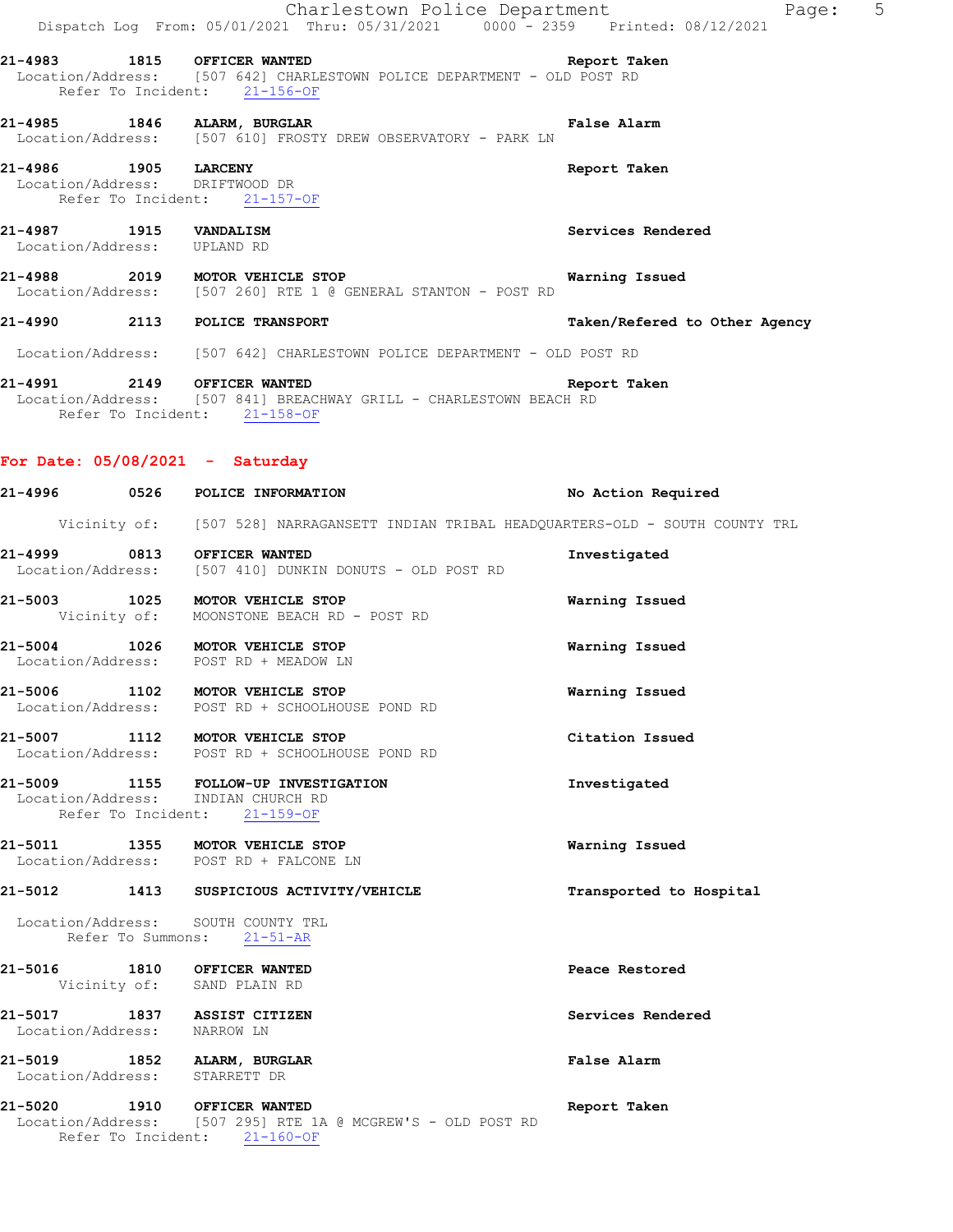|                                                       |      | Charlestown Police Department<br>Dispatch Log From: 05/01/2021 Thru: 05/31/2021 0000 <sup>-</sup> -2359 Printed: 08/12/2021            | Page: 5                       |  |
|-------------------------------------------------------|------|----------------------------------------------------------------------------------------------------------------------------------------|-------------------------------|--|
|                                                       |      | 21-4983 1815 OFFICER WANTED<br>Location/Address: [507 642] CHARLESTOWN POLICE DEPARTMENT - OLD POST RD<br>Refer To Incident: 21-156-OF | Report Taken                  |  |
|                                                       |      | 21-4985 1846 ALARM, BURGLAR<br>Location/Address: [507 610] FROSTY DREW OBSERVATORY - PARK LN                                           | False Alarm                   |  |
| 21-4986 1905 LARCENY                                  |      | Location/Address: DRIFTWOOD DR<br>Refer To Incident: 21-157-OF                                                                         | Report Taken                  |  |
| 21-4987 1915 VANDALISM<br>Location/Address: UPLAND RD |      |                                                                                                                                        | Services Rendered             |  |
|                                                       |      | 21-4988 2019 MOTOR VEHICLE STOP<br>Location/Address: [507 260] RTE 1 @ GENERAL STANTON - POST RD                                       | Warning Issued                |  |
|                                                       |      | 21-4990 2113 POLICE TRANSPORT                                                                                                          | Taken/Refered to Other Agency |  |
|                                                       |      | Location/Address: [507 642] CHARLESTOWN POLICE DEPARTMENT - OLD POST RD                                                                |                               |  |
|                                                       |      | 21-4991 2149 OFFICER WANTED<br>Location/Address: [507 841] BREACHWAY GRILL - CHARLESTOWN BEACH RD<br>Refer To Incident: 21-158-OF      | Report Taken                  |  |
|                                                       |      | For Date: $05/08/2021 - Saturday$                                                                                                      |                               |  |
|                                                       |      | 21-4996 0526 POLICE INFORMATION                                                                                                        | No Action Required            |  |
|                                                       |      | Vicinity of: [507 528] NARRAGANSETT INDIAN TRIBAL HEADQUARTERS-OLD - SOUTH COUNTY TRL                                                  |                               |  |
|                                                       |      | 21-4999 0813 OFFICER WANTED<br>Location/Address: [507 410] DUNKIN DONUTS - OLD POST RD                                                 | Investigated                  |  |
|                                                       |      | 21-5003 1025 MOTOR VEHICLE STOP<br>Vicinity of: MOONSTONE BEACH RD - POST RD                                                           | Warning Issued                |  |
|                                                       |      | 21-5004 1026 MOTOR VEHICLE STOP<br>Location/Address: POST RD + MEADOW LN                                                               | Warning Issued                |  |
| 21-5006                                               | 1102 | MOTOR VEHICLE STOP<br>Location/Address: POST RD + SCHOOLHOUSE POND RD                                                                  | Warning Issued                |  |
|                                                       |      | 21-5007 1112 MOTOR VEHICLE STOP<br>Location/Address: POST RD + SCHOOLHOUSE POND RD                                                     | Citation Issued               |  |
|                                                       |      | 21-5009 1155 FOLLOW-UP INVESTIGATION<br>Location/Address: INDIAN CHURCH RD<br>Refer To Incident: 21-159-OF                             | Investigated                  |  |
|                                                       |      | 21-5011 1355 MOTOR VEHICLE STOP<br>Location/Address: POST RD + FALCONE LN                                                              | Warning Issued                |  |
|                                                       |      | 21-5012 1413 SUSPICIOUS ACTIVITY/VEHICLE                                                                                               | Transported to Hospital       |  |
|                                                       |      | Location/Address: SOUTH COUNTY TRL<br>Refer To Summons: 21-51-AR                                                                       |                               |  |
|                                                       |      | 21-5016 1810 OFFICER WANTED<br>Vicinity of: SAND PLAIN RD                                                                              | Peace Restored                |  |
| Location/Address: NARROW LN                           |      | 21-5017 1837 ASSIST CITIZEN                                                                                                            | Services Rendered             |  |
|                                                       |      | 21-5019 1852 ALARM, BURGLAR<br>Location/Address: STARRETT DR                                                                           | False Alarm                   |  |
|                                                       |      | 21-5020 1910 OFFICER WANTED<br>Location/Address: [507 295] RTE 1A @ MCGREW'S - OLD POST RD<br>Refer To Incident: 21-160-OF             | Report Taken                  |  |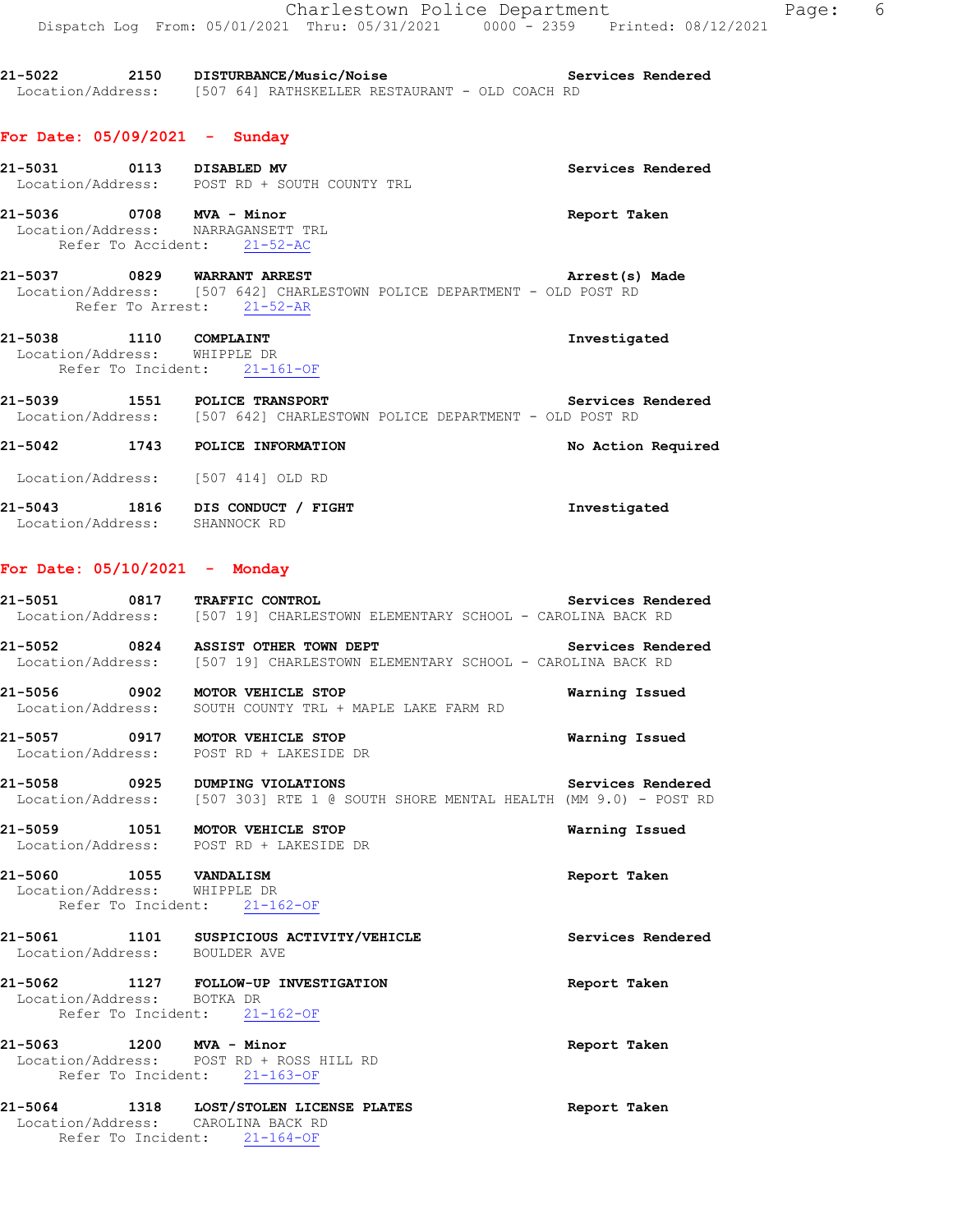|                                                                                               | Charlestown Police Department<br>Dispatch Log From: 05/01/2021 Thru: 05/31/2021 0000 - 2359 Printed: 08/12/2021         |                    |
|-----------------------------------------------------------------------------------------------|-------------------------------------------------------------------------------------------------------------------------|--------------------|
|                                                                                               | 21-5022 2150 DISTURBANCE/Music/Noise Services Rendered Location/Address: [507 64] RATHSKELLER RESTAURANT - OLD COACH RD |                    |
| For Date: $05/09/2021 -$ Sunday                                                               |                                                                                                                         |                    |
|                                                                                               | 21-5031 0113 DISABLED MV<br>Location/Address: POST RD + SOUTH COUNTY TRL                                                | Services Rendered  |
| 21-5036 0708 MVA - Minor<br>Location/Address: NARRAGANSETT TRL<br>Refer To Accident: 21-52-AC |                                                                                                                         | Report Taken       |
| 21-5037 0829 WARRANT ARREST<br>Refer To Arrest: 21-52-AR                                      | Location/Address: [507 642] CHARLESTOWN POLICE DEPARTMENT - OLD POST RD                                                 | Arrest(s) Made     |
| 21-5038 1110 COMPLAINT<br>Location/Address: WHIPPLE DR<br>Refer To Incident: 21-161-OF        |                                                                                                                         | Investigated       |
| 21-5039 1551 POLICE TRANSPORT                                                                 | Location/Address: [507 642] CHARLESTOWN POLICE DEPARTMENT - OLD POST RD                                                 | Services Rendered  |
| 21-5042 1743 POLICE INFORMATION                                                               |                                                                                                                         | No Action Required |
| Location/Address: [507 414] OLD RD                                                            |                                                                                                                         |                    |
| 21-5043 1816 DIS CONDUCT / FIGHT<br>Location/Address: SHANNOCK RD                             |                                                                                                                         | Investigated       |
| For Date: $05/10/2021$ - Monday                                                               |                                                                                                                         |                    |
| 21-5051 0817 TRAFFIC CONTROL                                                                  | Services Rendered<br>Location/Address: [507 19] CHARLESTOWN ELEMENTARY SCHOOL - CAROLINA BACK RD                        |                    |
| 21-5052                                                                                       | 0824 ASSIST OTHER TOWN DEPT<br>Location/Address: [507 19] CHARLESTOWN ELEMENTARY SCHOOL - CAROLINA BACK RD              | Services Rendered  |
| 21-5056                                                                                       | 0902 MOTOR VEHICLE STOP<br>Location/Address: SOUTH COUNTY TRL + MAPLE LAKE FARM RD                                      | Warning Issued     |
|                                                                                               | 21-5057 0917 MOTOR VEHICLE STOP<br>Location/Address: POST RD + LAKESIDE DR                                              | Warning Issued     |
| 21-5058 0925 DUMPING VIOLATIONS                                                               | Location/Address: [507 303] RTE 1 @ SOUTH SHORE MENTAL HEALTH (MM 9.0) - POST RD                                        | Services Rendered  |
| 21-5059 1051 MOTOR VEHICLE STOP<br>Location/Address: POST RD + LAKESIDE DR                    |                                                                                                                         | Warning Issued     |
| 21-5060 1055 VANDALISM<br>Location/Address: WHIPPLE DR                                        | Refer To Incident: 21-162-OF                                                                                            | Report Taken       |
| Location/Address: BOULDER AVE                                                                 | 21-5061 1101 SUSPICIOUS ACTIVITY/VEHICLE                                                                                | Services Rendered  |
| Location/Address: BOTKA DR<br>Refer To Incident: 21-162-OF                                    | 21-5062 1127 FOLLOW-UP INVESTIGATION                                                                                    | Report Taken       |
| 21-5063 1200 MVA - Minor<br>Refer To Incident: 21-163-OF                                      | Location/Address: POST RD + ROSS HILL RD                                                                                | Report Taken       |
| Location/Address: CAROLINA BACK RD                                                            | 21-5064 1318 LOST/STOLEN LICENSE PLATES                                                                                 | Report Taken       |

Refer To Incident: 21-164-OF

Page:  $6$ <br> $021$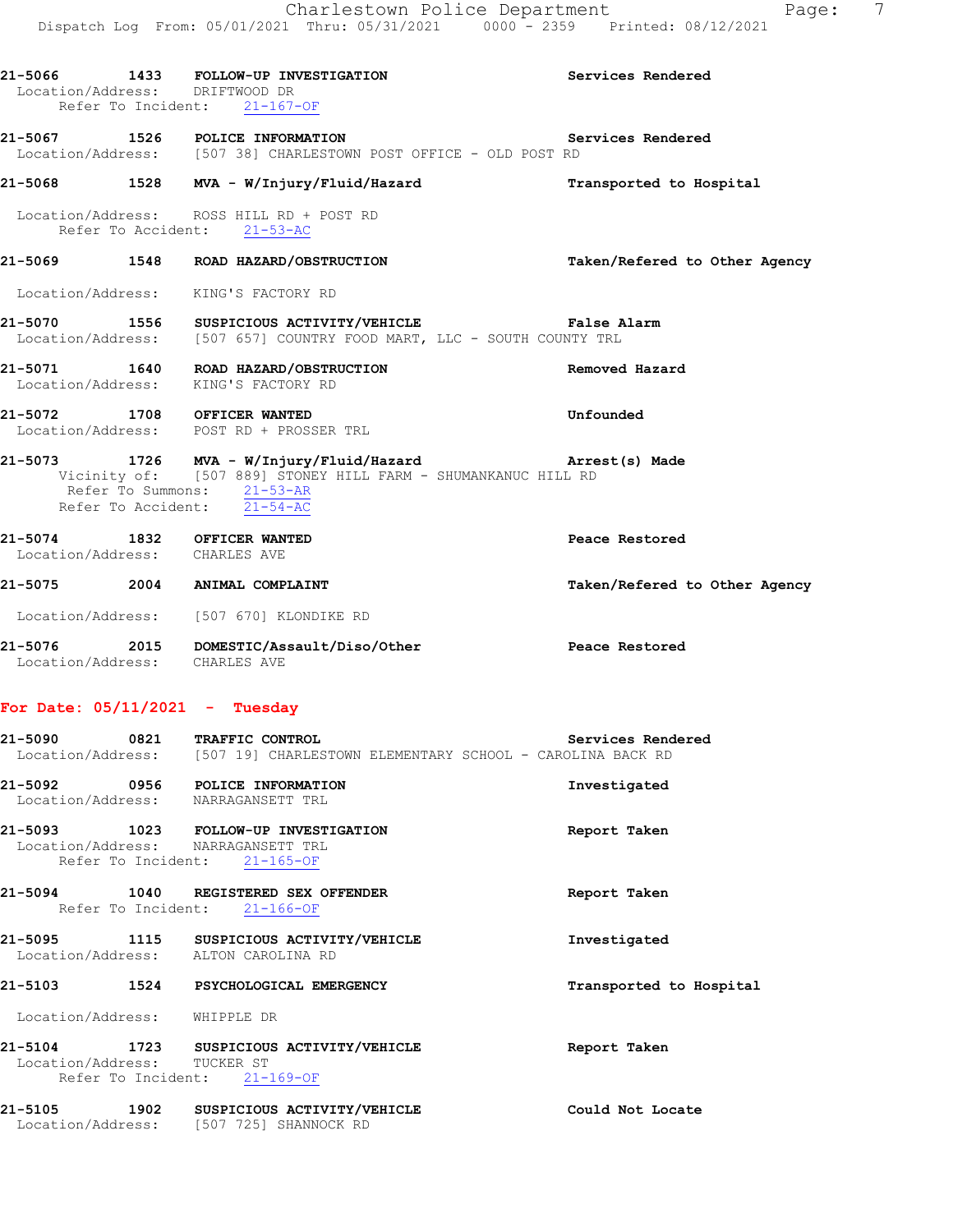### **21-5068 1528 MVA - W/Injury/Fluid/Hazard Transported to Hospital**

 Location/Address: ROSS HILL RD + POST RD Refer To Accident: 21-53-AC

# **21-5069 1548 ROAD HAZARD/OBSTRUCTION Taken/Refered to Other Agency**

Location/Address: KING'S FACTORY RD

# **21-5070 1556 SUSPICIOUS ACTIVITY/VEHICLE False Alarm**  Location/Address: [507 657] COUNTRY FOOD MART, LLC - SOUTH COUNTY TRL

- **21-5071 1640 ROAD HAZARD/OBSTRUCTION Removed Hazard**  Location/Address: KING'S FACTORY RD
- **21-5072 1708 OFFICER WANTED Unfounded**  Location/Address: POST RD + PROSSER TRL

### **21-5073 1726 MVA - W/Injury/Fluid/Hazard Arrest(s) Made**  Vicinity of: [507 889] STONEY HILL FARM - SHUMANKANUC HILL RD Refer To Summons: 21-53-AR Refer To Accident: 21-54-AC

**21-5074 1832 OFFICER WANTED Peace Restored**  Location/Address: CHARLES AVE

# **21-5075 2004 ANIMAL COMPLAINT Taken/Refered to Other Agency**

Location/Address: [507 670] KLONDIKE RD

**21-5076 2015 DOMESTIC/Assault/Diso/Other Peace Restored**  Location/Address: CHARLES AVE

### **For Date: 05/11/2021 - Tuesday**

| 21-5090           | 0821 |  | <b>TRAFFIC CONTROL</b>                                    |  |  | Services Rendered |
|-------------------|------|--|-----------------------------------------------------------|--|--|-------------------|
| Location/Address: |      |  | [507 19] CHARLESTOWN ELEMENTARY SCHOOL - CAROLINA BACK RD |  |  |                   |

- **21-5092 0956 POLICE INFORMATION Investigated**  Location/Address: NARRAGANSETT TRL
- **21-5093 1023 FOLLOW-UP INVESTIGATION Report Taken**  Location/Address: NARRAGANSETT TRL Refer To Incident: 21-165-OF
- **21-5094 1040 REGISTERED SEX OFFENDER Report Taken**  Refer To Incident: 21-166-OF

# **21-5095 1115 SUSPICIOUS ACTIVITY/VEHICLE Investigated**  Location/Address: ALTON CAROLINA RD

# **21-5103 1524 PSYCHOLOGICAL EMERGENCY Transported to Hospital**

Location/Address: WHIPPLE DR

**21-5104 1723 SUSPICIOUS ACTIVITY/VEHICLE Report Taken**  Location/Address: TUCKER ST Refer To Incident: 21-169-OF

| 21-5105           | 1902 | SUSPICIOUS ACTIVITY/VEHICLE | Could Not Locate |
|-------------------|------|-----------------------------|------------------|
| Location/Address: |      | [507 725] SHANNOCK RD       |                  |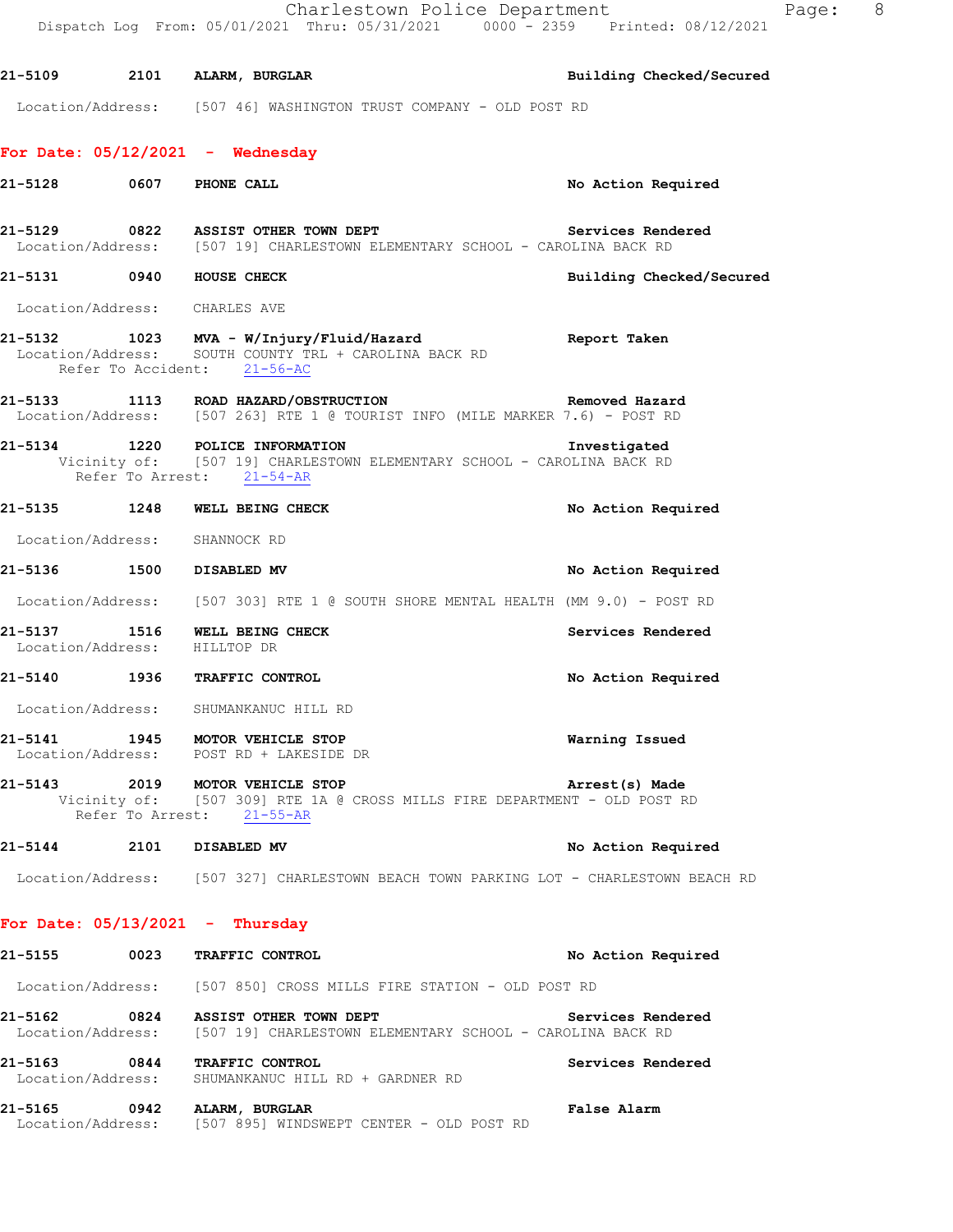|         |                                                                                                                                        | Charlestown Police Department<br>8 <sup>8</sup><br>Page:<br>Dispatch Log From: 05/01/2021 Thru: 05/31/2021 0000 - 2359 Printed: 08/12/2021 |
|---------|----------------------------------------------------------------------------------------------------------------------------------------|--------------------------------------------------------------------------------------------------------------------------------------------|
|         | 21-5109 2101 ALARM, BURGLAR                                                                                                            | Building Checked/Secured                                                                                                                   |
|         | Location/Address: [507 46] WASHINGTON TRUST COMPANY - OLD POST RD                                                                      |                                                                                                                                            |
|         | For Date: $05/12/2021$ - Wednesday                                                                                                     |                                                                                                                                            |
| 21-5128 | 0607 PHONE CALL                                                                                                                        | No Action Required                                                                                                                         |
|         | Location/Address: [507 19] CHARLESTOWN ELEMENTARY SCHOOL - CAROLINA BACK RD                                                            | 21-5129 		 0822 		 ASSIST OTHER TOWN DEPT 		 Services Rendered                                                                             |
|         | 21-5131 0940 HOUSE CHECK                                                                                                               | Building Checked/Secured                                                                                                                   |
|         | Location/Address: CHARLES AVE                                                                                                          |                                                                                                                                            |
|         | 21-5132 1023 MVA - W/Injury/Fluid/Hazard<br>Location/Address: SOUTH COUNTY TRL + CAROLINA BACK RD<br>Refer To Accident: 21-56-AC       | Report Taken                                                                                                                               |
|         | 21-5133 1113 ROAD HAZARD/OBSTRUCTION<br>Location/Address: [507 263] RTE 1 @ TOURIST INFO (MILE MARKER 7.6) - POST RD                   | Removed Hazard                                                                                                                             |
|         | 21-5134 1220 POLICE INFORMATION<br>Vicinity of: [507 19] CHARLESTOWN ELEMENTARY SCHOOL - CAROLINA BACK RD<br>Refer To Arrest: 21-54-AR | Investigated                                                                                                                               |
|         | 21-5135 1248 WELL BEING CHECK                                                                                                          | No Action Required                                                                                                                         |
|         | Location/Address: SHANNOCK RD                                                                                                          |                                                                                                                                            |
|         | 21-5136 1500 DISABLED MV                                                                                                               | No Action Required                                                                                                                         |
|         |                                                                                                                                        | Location/Address: [507 303] RTE 1 @ SOUTH SHORE MENTAL HEALTH (MM 9.0) - POST RD                                                           |
|         | 21-5137 1516 WELL BEING CHECK<br>Location/Address: HILLTOP DR                                                                          | Services Rendered                                                                                                                          |
| 21-5140 | 1936 TRAFFIC CONTROL                                                                                                                   | No Action Required                                                                                                                         |
|         | Location/Address: SHUMANKANUC HILL RD                                                                                                  |                                                                                                                                            |
|         | 21-5141 1945 MOTOR VEHICLE STOP<br>Location/Address: POST RD + LAKESIDE DR                                                             | Warning Issued                                                                                                                             |
|         | 21-5143 2019 MOTOR VEHICLE STOP<br>Refer To Arrest: 21-55-AR                                                                           | Arrest(s) Made<br>Vicinity of: [507 309] RTE 1A @ CROSS MILLS FIRE DEPARTMENT - OLD POST RD                                                |
|         | 21-5144 2101 DISABLED MV                                                                                                               | No Action Required                                                                                                                         |
|         |                                                                                                                                        | Location/Address: [507 327] CHARLESTOWN BEACH TOWN PARKING LOT - CHARLESTOWN BEACH RD                                                      |
|         | For Date: $05/13/2021$ - Thursday                                                                                                      |                                                                                                                                            |
|         | 21-5155 0023 TRAFFIC CONTROL                                                                                                           | No Action Required                                                                                                                         |
|         | Location/Address: [507 850] CROSS MILLS FIRE STATION - OLD POST RD                                                                     |                                                                                                                                            |
|         | Location/Address: [507 19] CHARLESTOWN ELEMENTARY SCHOOL - CAROLINA BACK RD                                                            | 21-5162 0824 ASSIST OTHER TOWN DEPT Services Rendered                                                                                      |
|         | 21-5163 0844 TRAFFIC CONTROL<br>Location/Address: SHUMANKANUC HILL RD + GARDNER RD                                                     | Services Rendered                                                                                                                          |
|         | 21-5165 0942 ALARM, BURGLAR<br>Location/Address: [507 895] WINDSWEPT CENTER - OLD POST RD                                              | False Alarm                                                                                                                                |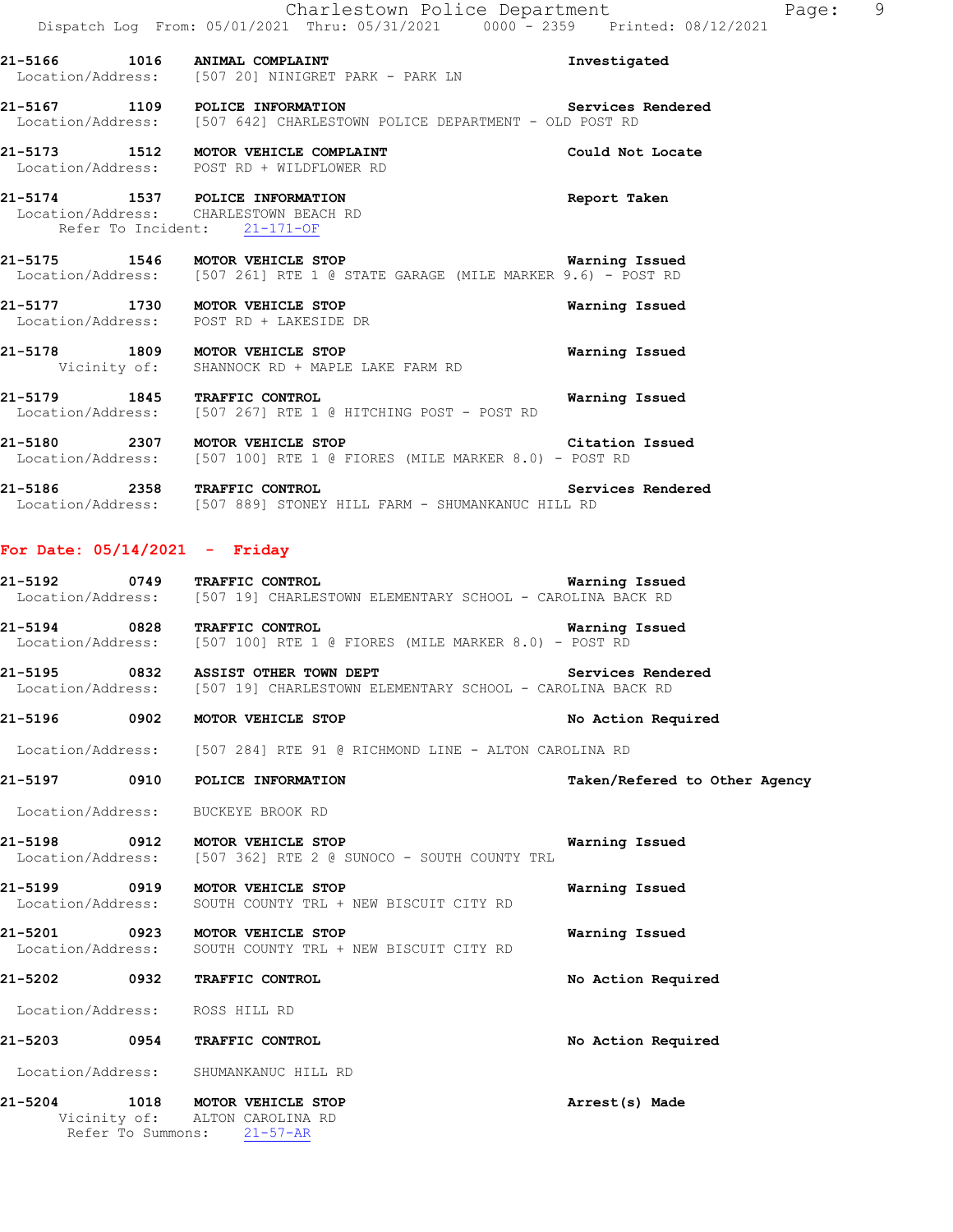|         |      | Charlestown Police Department<br>Dispatch Log From: 05/01/2021 Thru: 05/31/2021 0000 - 2359 Printed: 08/12/2021                    | Page: 9                       |
|---------|------|------------------------------------------------------------------------------------------------------------------------------------|-------------------------------|
|         |      | 21-5166 1016 ANIMAL COMPLAINT<br>Location/Address: [507 20] NINIGRET PARK - PARK LN                                                | Investigated                  |
|         |      | 21-5167 1109 POLICE INFORMATION Services<br>Location/Address: [507 642] CHARLESTOWN POLICE DEPARTMENT - OLD POST RD                | Services Rendered             |
|         |      | 21-5173 1512 MOTOR VEHICLE COMPLAINT<br>Location/Address: POST RD + WILDFLOWER RD                                                  | Could Not Locate              |
|         |      | 21-5174 1537 POLICE INFORMATION<br>Location/Address: CHARLESTOWN BEACH RD<br>Refer To Incident: 21-171-OF                          | Report Taken                  |
|         |      | 21-5175 1546 MOTOR VEHICLE STOP 120 Warning Issued<br>Location/Address: [507 261] RTE 1 @ STATE GARAGE (MILE MARKER 9.6) - POST RD |                               |
|         |      | 21-5177 1730 MOTOR VEHICLE STOP<br>Location/Address: POST RD + LAKESIDE DR                                                         | Warning Issued                |
|         |      | 21-5178 1809 MOTOR VEHICLE STOP<br>Vicinity of: SHANNOCK RD + MAPLE LAKE FARM RD                                                   | Warning Issued                |
|         |      | 21-5179 1845 TRAFFIC CONTROL<br>Location/Address: [507 267] RTE 1 @ HITCHING POST - POST RD                                        | Warning Issued                |
|         |      | 21-5180 2307 MOTOR VEHICLE STOP Citation Issued<br>Location/Address: [507 100] RTE 1 @ FIORES (MILE MARKER 8.0) - POST RD          |                               |
|         |      | 21-5186 2358 TRAFFIC CONTROL Serv<br>Location/Address: [507 889] STONEY HILL FARM - SHUMANKANUC HILL RD                            | Services Rendered             |
|         |      | For Date: $05/14/2021$ - Friday                                                                                                    |                               |
|         |      | 21-5192 0749 TRAFFIC CONTROL Marning Issue<br>Location/Address: [507 19] CHARLESTOWN ELEMENTARY SCHOOL - CAROLINA BACK RD          | Warning Issued                |
|         |      | 21-5194 0828 TRAFFIC CONTROL <b>Warning Issued</b><br>Location/Address: [507 100] RTE 1 @ FIORES (MILE MARKER 8.0) - POST RD       |                               |
|         |      | 21-5195 0832 ASSIST OTHER TOWN DEPT<br>Location/Address: [507 19] CHARLESTOWN ELEMENTARY SCHOOL - CAROLINA BACK RD                 | Services Rendered             |
| 21-5196 | 0902 | MOTOR VEHICLE STOP                                                                                                                 | No Action Required            |
|         |      | Location/Address: [507 284] RTE 91 @ RICHMOND LINE - ALTON CAROLINA RD                                                             |                               |
| 21-5197 | 0910 | POLICE INFORMATION                                                                                                                 | Taken/Refered to Other Agency |
|         |      | Location/Address: BUCKEYE BROOK RD                                                                                                 |                               |
| 21-5198 | 0912 | MOTOR VEHICLE STOP<br>Location/Address: [507 362] RTE 2 @ SUNOCO - SOUTH COUNTY TRL                                                | Warning Issued                |

**21-5199 0919 MOTOR VEHICLE STOP Warning Issued**  Location/Address: SOUTH COUNTY TRL + NEW BISCUIT CITY RD

**21-5201 0923 MOTOR VEHICLE STOP Warning Issued**  Location/Address: SOUTH COUNTY TRL + NEW BISCUIT CITY RD

**21-5202 0932 TRAFFIC CONTROL No Action Required**  Location/Address: ROSS HILL RD **21-5203 0954 TRAFFIC CONTROL No Action Required** 

Location/Address: SHUMANKANUC HILL RD

**21-5204 1018 MOTOR VEHICLE STOP Arrest(s) Made**  Vicinity of: ALTON CAROLINA RD Refer To Summons: 21-57-AR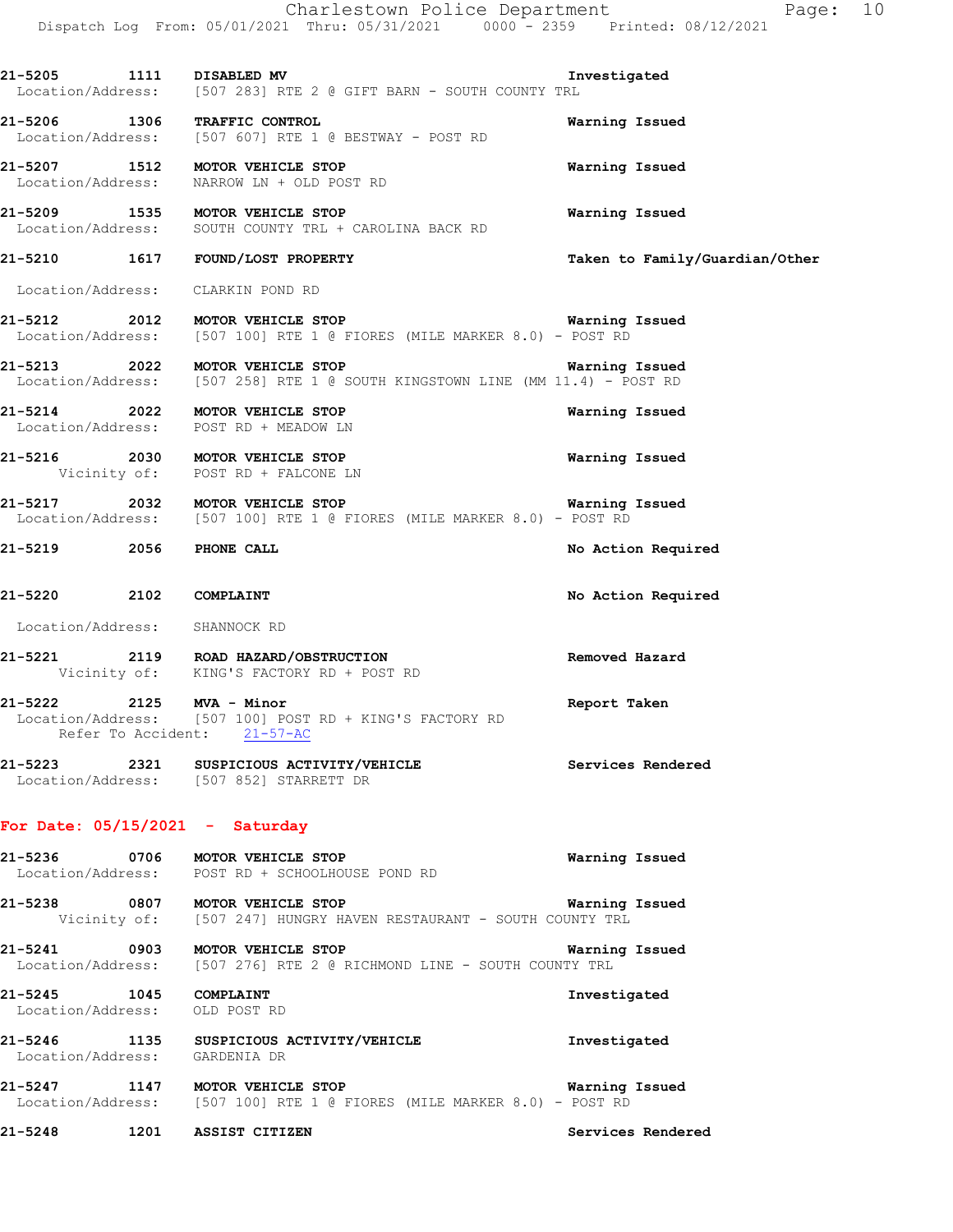Charlestown Police Department Fage: 10 Dispatch Log From: 05/01/2021 Thru: 05/31/2021 0000 - 2359 Printed: 08/12/2021

**21-5205 1111 DISABLED MV Investigated**  Location/Address: [507 283] RTE 2 @ GIFT BARN - SOUTH COUNTY TRL **21-5206 1306 TRAFFIC CONTROL CONTROL Marning Issued Warning Issued** Location/Address: [507 607] RTE 1 @ BESTWAY - POST RD Location/Address: [507 607] RTE 1 @ BESTWAY - POST RD **21-5207 1512 MOTOR VEHICLE STOP Warning Issued**  Location/Address: NARROW LN + OLD POST RD **21-5209 1535 MOTOR VEHICLE STOP Warning Issued**  Location/Address: SOUTH COUNTY TRL + CAROLINA BACK RD **21-5210 1617 FOUND/LOST PROPERTY Taken to Family/Guardian/Other** Location/Address: CLARKIN POND RD **21-5212 2012 MOTOR VEHICLE STOP Warning Issued**  Location/Address: [507 100] RTE 1 @ FIORES (MILE MARKER 8.0) - POST RD **21-5213 2022 MOTOR VEHICLE STOP Warning Issued**  Location/Address: [507 258] RTE 1 @ SOUTH KINGSTOWN LINE (MM 11.4) - POST RD **21-5214 2022 MOTOR VEHICLE STOP Warning Issued**  Location/Address: POST RD + MEADOW LN **21-5216 2030 MOTOR VEHICLE STOP Warning Issued**  Vicinity of: POST RD + FALCONE LN **21-5217 2032 MOTOR VEHICLE STOP Warning Issued**  Location/Address: [507 100] RTE 1 @ FIORES (MILE MARKER 8.0) - POST RD **21-5219 2056 PHONE CALL No Action Required 21-5220 2102 COMPLAINT No Action Required**  Location/Address: SHANNOCK RD **21-5221 2119 ROAD HAZARD/OBSTRUCTION Removed Hazard**  Vicinity of: KING'S FACTORY RD + POST RD **21-5222 2125 MVA - Minor Report Taken**  Location/Address: [507 100] POST RD + KING'S FACTORY RD Refer To Accident: 21-57-AC **21-5223 2321 SUSPICIOUS ACTIVITY/VEHICLE Services Rendered**  Location/Address: [507 852] STARRETT DR **For Date: 05/15/2021 - Saturday 21-5236 0706 MOTOR VEHICLE STOP Warning Issued**  Location/Address: POST RD + SCHOOLHOUSE POND RD

**21-5238 0807 MOTOR VEHICLE STOP WATALLE WATHING ISSUED**<br>Vicinity of: [507 247] HUNGRY HAVEN RESTAURANT - SOUTH COUNTY TRL Vicinity of: [507 247] HUNGRY HAVEN RESTAURANT - SOUTH COUNTY TRL

**21-5241 0903 MOTOR VEHICLE STOP Warning Issued**<br>Location/Address: [507 276] RTE 2 @ RICHMOND LINE - SOUTH COUNTY TRL [507 276] RTE 2 @ RICHMOND LINE - SOUTH COUNTY TRL

**21-5245 1045 COMPLAINT Investigated**  Location/Address: OLD POST RD

**21-5246 1135 SUSPICIOUS ACTIVITY/VEHICLE Investigated**  Location/Address: GARDENIA DR

**21-5247 1147 MOTOR VEHICLE STOP Warning Issued**  Location/Address: [507 100] RTE 1 @ FIORES (MILE MARKER 8.0) - POST RD

**21-5248 1201 ASSIST CITIZEN Services Rendered**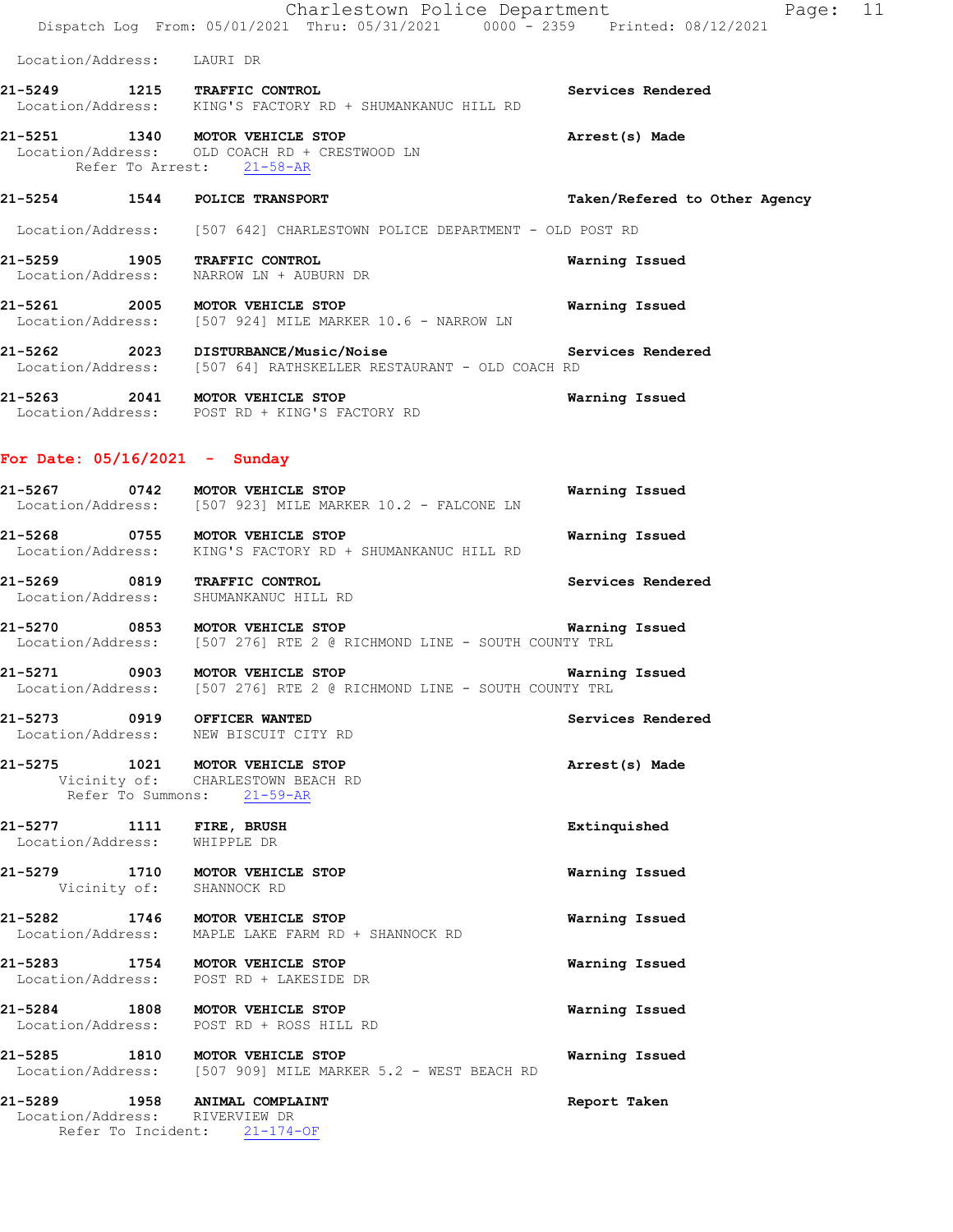Charlestown Police Department The Page: 11 Dispatch Log From: 05/01/2021 Thru: 05/31/2021 0000 - 2359 Printed: 08/12/2021

Location/Address: LAURI DR

### **21-5249 1215 TRAFFIC CONTROL Services Rendered**  Location/Address: KING'S FACTORY RD + SHUMANKANUC HILL RD

### **21-5251 1340 MOTOR VEHICLE STOP Arrest(s) Made**  Location/Address: OLD COACH RD + CRESTWOOD LN Refer To Arrest: 21-58-AR

# **21-5254 1544 POLICE TRANSPORT Taken/Refered to Other Agency**

Location/Address: [507 642] CHARLESTOWN POLICE DEPARTMENT - OLD POST RD

- **21-5259 1905 TRAFFIC CONTROL Warning Issued**  Location/Address: NARROW LN + AUBURN DR
- **21-5261 2005 MOTOR VEHICLE STOP Warning Issued**  Location/Address: [507 924] MILE MARKER 10.6 - NARROW LN
- 21-5262 2023 DISTURBANCE/Music/Noise Services Rendered Location/Address: [507 64] RATHSKELLER RESTAURANT OLD COACH RD [507 64] RATHSKELLER RESTAURANT - OLD COACH RD
- **21-5263 2041 MOTOR VEHICLE STOP Warning Issued**  Location/Address: POST RD + KING'S FACTORY RD

### **For Date: 05/16/2021 - Sunday**

- **21-5267 0742 MOTOR VEHICLE STOP WATER WATER WARED WARED WARED WARED WARED WARED WARED WARED WARED WARED WARED W**<br>Location/Address: [507 923] MILE MARKER 10.2 FALCONE LN [507 923] MILE MARKER 10.2 - FALCONE LN
- **21-5268 0755 MOTOR VEHICLE STOP Warning Issued**  Location/Address: KING'S FACTORY RD + SHUMANKANUC HILL RD
- **21-5269 0819 TRAFFIC CONTROL Services Rendered**  Location/Address: SHUMANKANUC HILL RD
- **21-5270 0853 MOTOR VEHICLE STOP Warning Issued**  Location/Address: [507 276] RTE 2 @ RICHMOND LINE - SOUTH COUNTY TRL
- **21-5271 0903 MOTOR VEHICLE STOP Warning Issued** Location/Address: [507 276] RTE 2 @ RICHMOND LINE SOUTH COUNTY TRL [507 276] RTE 2 @ RICHMOND LINE - SOUTH COUNTY TRL
- **21-5273 0919 OFFICER WANTED Services Rendered**  Location/Address: NEW BISCUIT CITY RD
- **21-5275 1021 MOTOR VEHICLE STOP Arrest(s) Made**  Vicinity of: CHARLESTOWN BEACH RD Refer To Summons: 21-59-AR
- **21-5277 1111 FIRE, BRUSH Extinquished**  Location/Address: WHIPPLE DR
- **21-5279 1710 MOTOR VEHICLE STOP Warning Issued**  Vicinity of: SHANNOCK RD
- **21-5282 1746 MOTOR VEHICLE STOP Warning Issued**  Location/Address: MAPLE LAKE FARM RD + SHANNOCK RD
- **21-5283 1754 MOTOR VEHICLE STOP Warning Issued**  Location/Address: POST RD + LAKESIDE DR
- **21-5284 1808 MOTOR VEHICLE STOP Warning Issued**  Location/Address: POST RD + ROSS HILL RD
- **21-5285 1810 MOTOR VEHICLE STOP Warning Issued**  Location/Address: [507 909] MILE MARKER 5.2 - WEST BEACH RD
- **21-5289 1958 ANIMAL COMPLAINT Report Taken**  Location/Address: RIVERVIEW DR Refer To Incident: 21-174-OF
- 
- 
- 
- 
- - - -
			-
			-
			-
		- - -
				-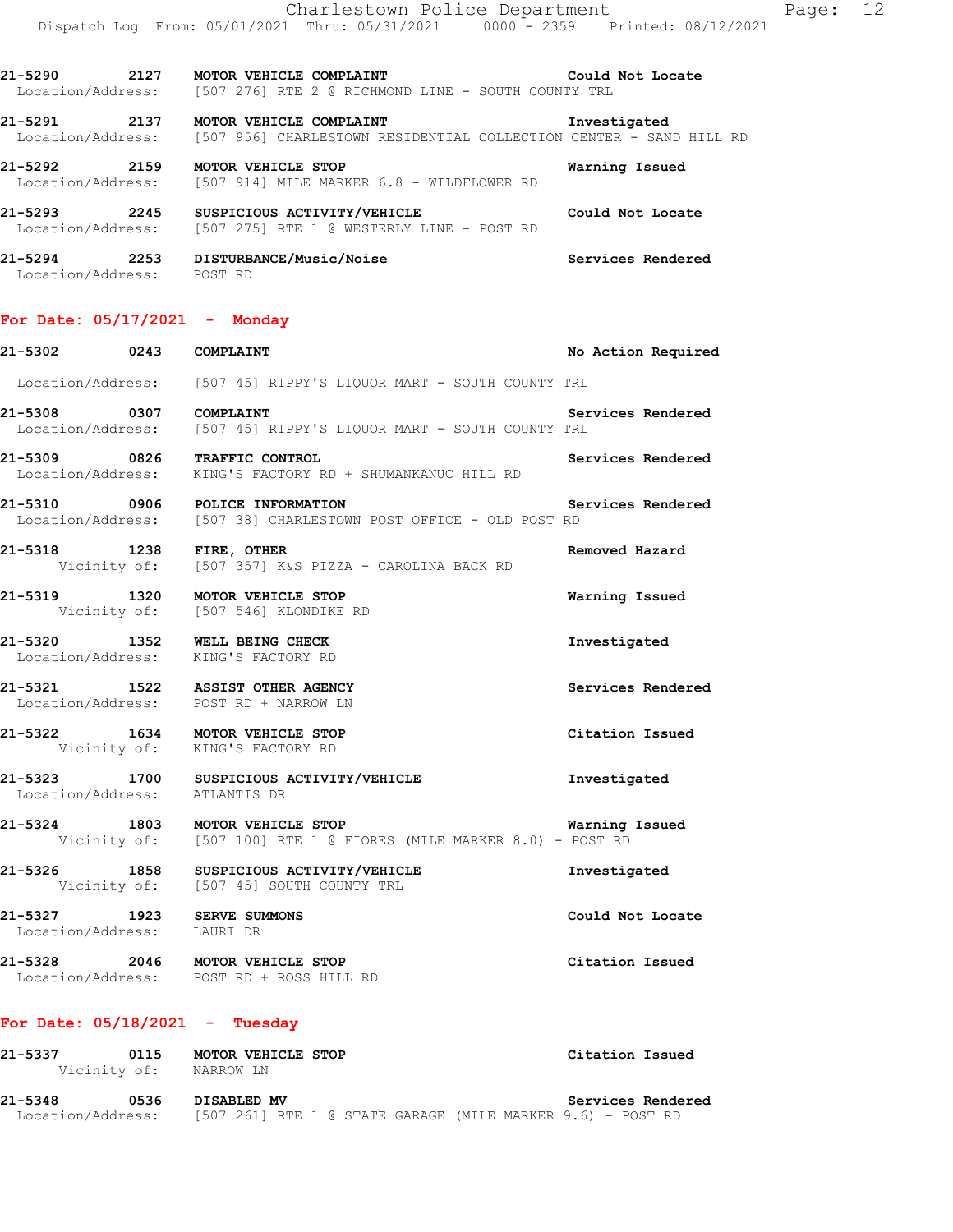**21-5290 2127 MOTOR VEHICLE COMPLAINT Could Not Locate**  Location/Address: [507 276] RTE 2 @ RICHMOND LINE - SOUTH COUNTY TRL

**21-5291 2137 MOTOR VEHICLE COMPLAINT Investigated**  Location/Address: [507 956] CHARLESTOWN RESIDENTIAL COLLECTION CENTER - SAND HILL RD

**21-5292 2159 MOTOR VEHICLE STOP Warning Issued**  Location/Address: [507 914] MILE MARKER 6.8 - WILDFLOWER RD

**21-5293 2245 SUSPICIOUS ACTIVITY/VEHICLE Could Not Locate**  Location/Address: [507 275] RTE 1 @ WESTERLY LINE - POST RD

**21-5294 2253 DISTURBANCE/Music/Noise Services Rendered**  Location/Address: POST RD

### **For Date: 05/17/2021 - Monday**

**21-5302 0243 COMPLAINT No Action Required**  Location/Address: [507 45] RIPPY'S LIQUOR MART - SOUTH COUNTY TRL **21-5308 0307 COMPLAINT Services Rendered**  Location/Address: [507 45] RIPPY'S LIQUOR MART - SOUTH COUNTY TRL **21-5309 0826 TRAFFIC CONTROL Services Rendered**  Location/Address: KING'S FACTORY RD + SHUMANKANUC HILL RD **21-5310 0906 POLICE INFORMATION Services Rendered**  Location/Address: [507 38] CHARLESTOWN POST OFFICE - OLD POST RD **21-5318 1238 FIRE, OTHER Removed Hazard**  Vicinity of: [507 357] K&S PIZZA - CAROLINA BACK RD **21-5319 1320 MOTOR VEHICLE STOP Warning Issued**  Vicinity of: [507 546] KLONDIKE RD **21-5320 1352 WELL BEING CHECK Investigated**  Location/Address: **21-5321 1522 ASSIST OTHER AGENCY Services Rendered**  Location/Address: POST RD + NARROW LN **21-5322 1634 MOTOR VEHICLE STOP Citation Issued**  Vicinity of: KING'S FACTORY RD **21-5323 1700 SUSPICIOUS ACTIVITY/VEHICLE Investigated**  Location/Address: ATLANTIS DR **21-5324 1803 MOTOR VEHICLE STOP Warning Issued**<br>Vicinity of: [507 100] RTE 1 @ FIORES (MILE MARKER 8.0) - POST RD [507 100] RTE 1 @ FIORES (MILE MARKER 8.0) - POST RD **21-5326 1858 SUSPICIOUS ACTIVITY/VEHICLE Investigated**  Vicinity of: [507 45] SOUTH COUNTY TRL **21-5327 1923 SERVE SUMMONS Could Not Locate** 

Location/Address: LAURI DR

**21-5328 2046 MOTOR VEHICLE STOP Citation Issued**  Location/Address: POST RD + ROSS HILL RD

### **For Date: 05/18/2021 - Tuesday**

| 21-5337           | 0115<br>Vicinity of: | MOTOR VEHICLE STOP<br>NARROW LN                            |  | Citation Issued   |
|-------------------|----------------------|------------------------------------------------------------|--|-------------------|
| 21-5348           | 0536                 | DISABLED MV                                                |  | Services Rendered |
| Location/Address: |                      | [507 261] RTE 1 @ STATE GARAGE (MILE MARKER 9.6) - POST RD |  |                   |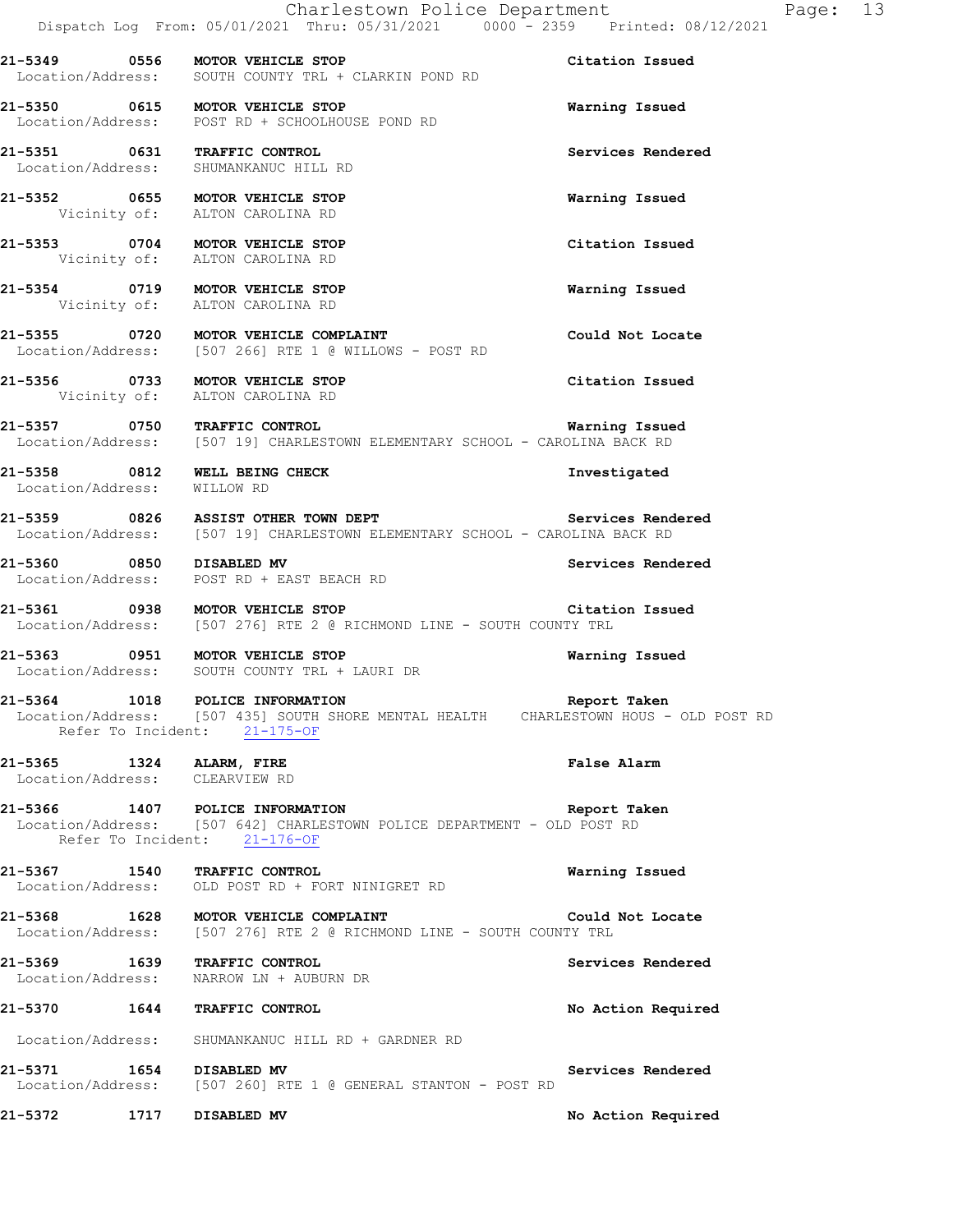Charlestown Police Department Fage: 13 Dispatch Log From: 05/01/2021 Thru: 05/31/2021 0000 - 2359 Printed: 08/12/2021 **21-5349 0556 MOTOR VEHICLE STOP Citation Issued**  Location/Address: SOUTH COUNTY TRL + CLARKIN POND RD **21-5350 0615 MOTOR VEHICLE STOP Warning Issued**  Location/Address: POST RD + SCHOOLHOUSE POND RD **21-5351 0631 TRAFFIC CONTROL Services Rendered**  Location/Address: SHUMANKANUC HILL RD **21-5352 0655 MOTOR VEHICLE STOP Warning Issued**  Vicinity of: ALTON CAROLINA RD **21-5353 0704 MOTOR VEHICLE STOP Citation Issued**  Vicinity of: ALTON CAROLINA RD **21-5354 0719 MOTOR VEHICLE STOP Warning Issued**  Vicinity of: ALTON CAROLINA RD **21-5355 0720 MOTOR VEHICLE COMPLAINT Could Not Locate** [507 266] RTE 1 @ WILLOWS - POST RD Location/Address: [507 266] RTE 1 @ WILLOWS - POST RD **21-5356 0733 MOTOR VEHICLE STOP Citation Issued**  Vicinity of: ALTON CAROLINA RD **21-5357 0750 TRAFFIC CONTROL Marning Issued**<br>Location/Address: [507 19] CHARLESTOWN ELEMENTARY SCHOOL - CAROLINA BACK RD [507 19] CHARLESTOWN ELEMENTARY SCHOOL - CAROLINA BACK RD **21-5358 0812 WELL BEING CHECK Investigated**  Location/Address: WILLOW RD **21-5359 0826 ASSIST OTHER TOWN DEPT Services Rendered**  Location/Address: [507 19] CHARLESTOWN ELEMENTARY SCHOOL - CAROLINA BACK RD **21-5360 0850 DISABLED MV Services Rendered**  Location/Address: POST RD + EAST BEACH RD **21-5361 0938 MOTOR VEHICLE STOP Citation Issued**  Location/Address: [507 276] RTE 2 @ RICHMOND LINE - SOUTH COUNTY TRL **21-5363 0951 MOTOR VEHICLE STOP Warning Issued**  Location/Address: SOUTH COUNTY TRL + LAURI DR **21-5364 1018 POLICE INFORMATION Report Taken**  Location/Address: [507 435] SOUTH SHORE MENTAL HEALTH CHARLESTOWN HOUS - OLD POST RD Refer To Incident: 21-175-OF **21-5365 1324 ALARM, FIRE False Alarm**  Location/Address: CLEARVIEW RD **21-5366 1407 POLICE INFORMATION Report Taken**  Location/Address: [507 642] CHARLESTOWN POLICE DEPARTMENT - OLD POST RD Refer To Incident: 21-176-OF **21-5367 1540 TRAFFIC CONTROL Warning Issued**  Location/Address: OLD POST RD + FORT NINIGRET RD **21-5368 1628 MOTOR VEHICLE COMPLAINT COULD NOT COULD NOT LOCATE**<br>
Location/Address: [507 276] RTE 2 @ RICHMOND LINE - SOUTH COUNTY TRL [507 276] RTE 2 @ RICHMOND LINE - SOUTH COUNTY TRL **21-5369 1639 TRAFFIC CONTROL Services Rendered**  Location/Address: NARROW LN + AUBURN DR **21-5370 1644 TRAFFIC CONTROL No Action Required**  Location/Address: SHUMANKANUC HILL RD + GARDNER RD **21-5371 1654 DISABLED MV Services Rendered**  [507 260] RTE 1 @ GENERAL STANTON - POST RD **21-5372 1717 DISABLED MV No Action Required**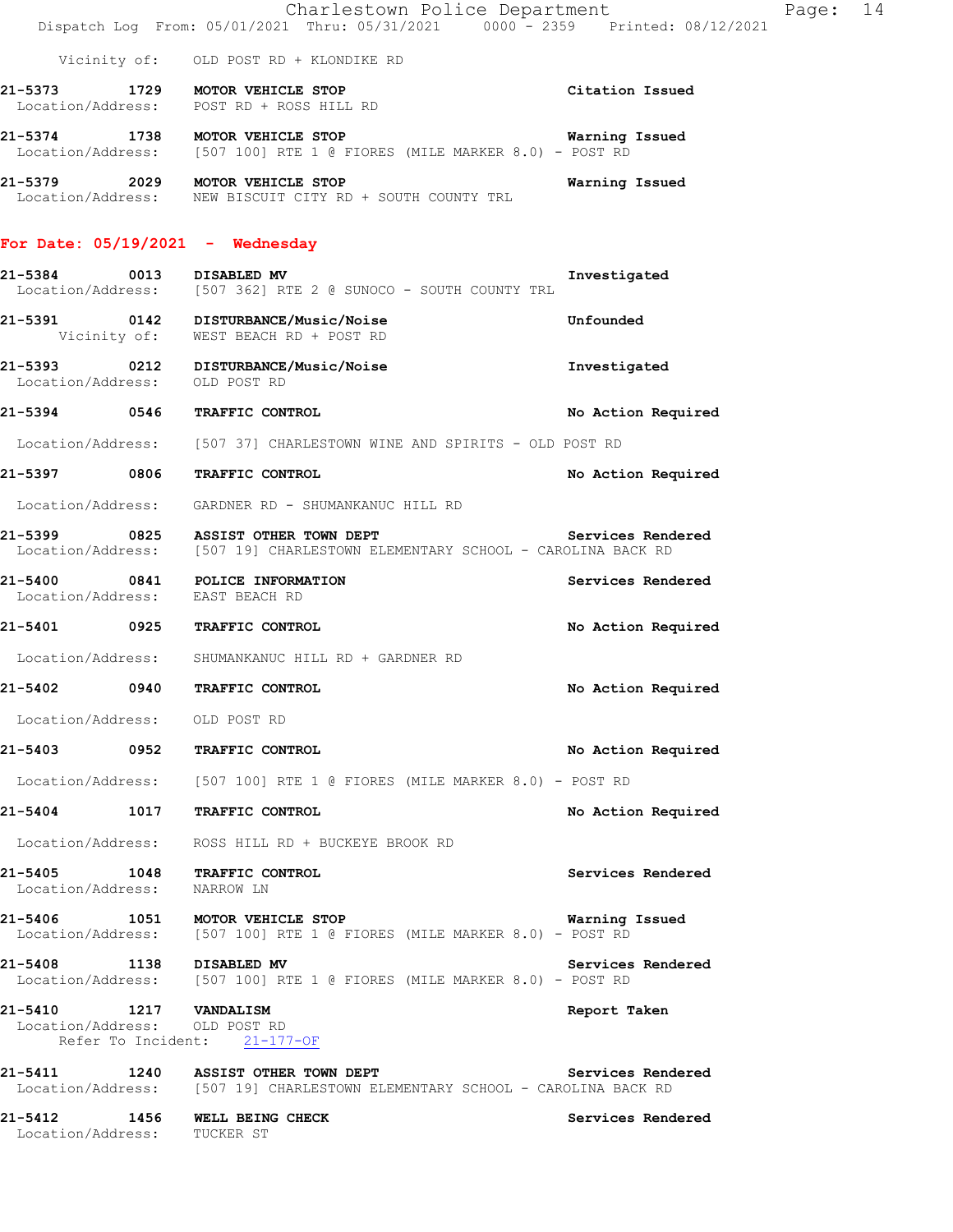|                               |      | Charlestown Police Department<br>Dispatch Log From: 05/01/2021 Thru: 05/31/2021 0000 - 2359 Printed: 08/12/2021                      |                    | Page: 14 |  |
|-------------------------------|------|--------------------------------------------------------------------------------------------------------------------------------------|--------------------|----------|--|
|                               |      | Vicinity of: OLD POST RD + KLONDIKE RD                                                                                               |                    |          |  |
|                               |      | 21-5373 1729 MOTOR VEHICLE STOP                                                                                                      | Citation Issued    |          |  |
|                               |      | Location/Address: POST RD + ROSS HILL RD                                                                                             |                    |          |  |
|                               |      | 21-5374 1738 MOTOR VEHICLE STOP<br>Location/Address: [507 100] RTE 1 @ FIORES (MILE MARKER 8.0) - POST RD                            | Warning Issued     |          |  |
|                               |      | 21-5379 2029 MOTOR VEHICLE STOP<br>Location/Address: NEW BISCUIT CITY RD + SOUTH COUNTY TRL                                          | Warning Issued     |          |  |
|                               |      | For Date: $05/19/2021$ - Wednesday                                                                                                   |                    |          |  |
| 21-5384                       | 0013 | DISABLED MV<br>Location/Address: [507 362] RTE 2 @ SUNOCO - SOUTH COUNTY TRL                                                         | Investigated       |          |  |
|                               |      | 21-5391 0142 DISTURBANCE/Music/Noise<br>Vicinity of: WEST BEACH RD + POST RD                                                         | Unfounded          |          |  |
| Location/Address:             |      | 21-5393 0212 DISTURBANCE/Music/Noise<br>OLD POST RD                                                                                  | Investigated       |          |  |
|                               |      | 21-5394 0546 TRAFFIC CONTROL                                                                                                         | No Action Required |          |  |
|                               |      | Location/Address: [507 37] CHARLESTOWN WINE AND SPIRITS - OLD POST RD                                                                |                    |          |  |
|                               |      | 21-5397 0806 TRAFFIC CONTROL                                                                                                         | No Action Required |          |  |
|                               |      | Location/Address: GARDNER RD - SHUMANKANUC HILL RD                                                                                   |                    |          |  |
| 21-5399                       |      | 0825 ASSIST OTHER TOWN DEPT<br>Location/Address: [507 19] CHARLESTOWN ELEMENTARY SCHOOL - CAROLINA BACK RD                           | Services Rendered  |          |  |
|                               |      | 21-5400 0841 POLICE INFORMATION<br>Location/Address: EAST BEACH RD                                                                   | Services Rendered  |          |  |
|                               |      | 21-5401 0925 TRAFFIC CONTROL                                                                                                         | No Action Required |          |  |
|                               |      | Location/Address: SHUMANKANUC HILL RD + GARDNER RD                                                                                   |                    |          |  |
| 21-5402                       | 0940 | TRAFFIC CONTROL                                                                                                                      | No Action Required |          |  |
| Location/Address: OLD POST RD |      |                                                                                                                                      |                    |          |  |
|                               |      | 21-5403 0952 TRAFFIC CONTROL                                                                                                         | No Action Required |          |  |
|                               |      | Location/Address: [507 100] RTE 1 @ FIORES (MILE MARKER 8.0) - POST RD                                                               |                    |          |  |
|                               |      | 21-5404 1017 TRAFFIC CONTROL                                                                                                         | No Action Required |          |  |
|                               |      | Location/Address: ROSS HILL RD + BUCKEYE BROOK RD                                                                                    |                    |          |  |
| Location/Address: NARROW LN   |      | 21-5405 1048 TRAFFIC CONTROL                                                                                                         | Services Rendered  |          |  |
|                               |      | 21-5406 1051 MOTOR VEHICLE STOP<br>Location/Address: [507 100] RTE 1 @ FIORES (MILE MARKER 8.0) - POST RD                            | Warning Issued     |          |  |
|                               |      | 21-5408 1138 DISABLED MV<br>Location/Address: [507 100] RTE 1 @ FIORES (MILE MARKER 8.0) - POST RD                                   | Services Rendered  |          |  |
| 21-5410 1217 VANDALISM        |      | Location/Address: OLD POST RD<br>Refer To Incident: 21-177-OF                                                                        | Report Taken       |          |  |
|                               |      | 21-5411 1240 ASSIST OTHER TOWN DEPT Services Rendered<br>Location/Address: [507 19] CHARLESTOWN ELEMENTARY SCHOOL - CAROLINA BACK RD |                    |          |  |
| Location/Address: TUCKER ST   |      | 21-5412 1456 WELL BEING CHECK                                                                                                        | Services Rendered  |          |  |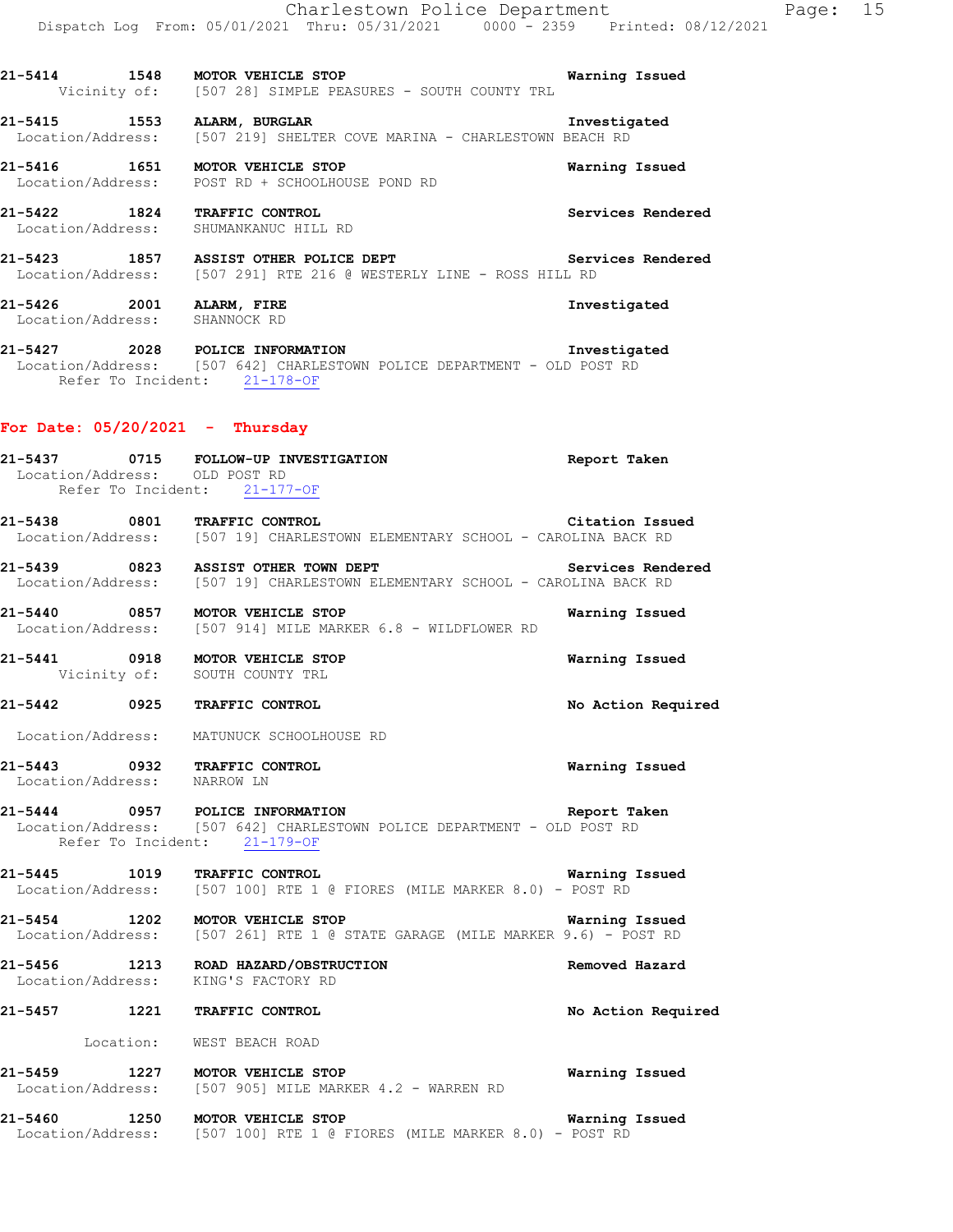Vicinity of: [507 28] SIMPLE PEASURES - SOUTH COUNTY TRL **21-5415 1553 ALARM, BURGLAR INVERGENT AND REACH POST LOCATION ARTINA** - CHARLESTOWN BEACH RD [507 219] SHELTER COVE MARINA - CHARLESTOWN BEACH RD

**21-5414 1548 MOTOR VEHICLE STOP Warning Issued** 

**21-5416 1651 MOTOR VEHICLE STOP Warning Issued**  Location/Address: POST RD + SCHOOLHOUSE POND RD

**21-5422 1824 TRAFFIC CONTROL Services Rendered**  Location/Address: SHUMANKANUC HILL RD

**21-5423 1857 ASSIST OTHER POLICE DEPT Services Rendered**  Location/Address: [507 291] RTE 216 @ WESTERLY LINE - ROSS HILL RD

**21-5426 2001 ALARM, FIRE Investigated**  Location/Address: SHANNOCK RD

**21-5427 2028 POLICE INFORMATION Investigated**  Location/Address: [507 642] CHARLESTOWN POLICE DEPARTMENT - OLD POST RD Refer To Incident: 21-178-OF

### **For Date: 05/20/2021 - Thursday**

**21-5437 0715 FOLLOW-UP INVESTIGATION Report Taken**  Location/Address: OLD POST RD Refer To Incident: 21-177-OF **21-5438 0801 TRAFFIC CONTROL Citation Issued**  Location/Address: [507 19] CHARLESTOWN ELEMENTARY SCHOOL - CAROLINA BACK RD 21-5439 **0823** ASSIST OTHER TOWN DEPT **Services Rendered**  Location/Address: [507 19] CHARLESTOWN ELEMENTARY SCHOOL - CAROLINA BACK RD **21-5440 0857 MOTOR VEHICLE STOP Warning Issued**  Location/Address: [507 914] MILE MARKER 6.8 - WILDFLOWER RD **21-5441 0918 MOTOR VEHICLE STOP Warning Issued**  Vicinity of: SOUTH COUNTY TRL **21-5442 0925 TRAFFIC CONTROL No Action Required**  Location/Address: MATUNUCK SCHOOLHOUSE RD **21-5443 0932 TRAFFIC CONTROL Warning Issued**  Location/Address: NARROW LN **21-5444 0957 POLICE INFORMATION Report Taken**  Location/Address: [507 642] CHARLESTOWN POLICE DEPARTMENT - OLD POST RD Refer To Incident: 21-179-OF **21-5445 1019 TRAFFIC CONTROL Warning Issued**  Location/Address: [507 100] RTE 1 @ FIORES (MILE MARKER 8.0) - POST RD **21-5454 1202 MOTOR VEHICLE STOP WARKER 9.6) - POST RD**<br>Location/Address: [507 261] RTE 1 @ STATE GARAGE (MILE MARKER 9.6) - POST RD [507 261] RTE 1 @ STATE GARAGE (MILE MARKER 9.6) - POST RD **21-5456 1213 ROAD HAZARD/OBSTRUCTION Removed Hazard**  Location/Address: KING'S FACTORY RD **21-5457 1221 TRAFFIC CONTROL No Action Required**  Location: WEST BEACH ROAD **21-5459 1227 MOTOR VEHICLE STOP WARKER 4.2 - WARREN RD Warning Issued** Location/Address: [507 905] MILE MARKER 4.2 - WARREN RD  $[507 905]$  MILE MARKER  $4.2$  - WARREN RD **21-5460 1250 MOTOR VEHICLE STOP Warning Issued**  Location/Address: [507 100] RTE 1 @ FIORES (MILE MARKER 8.0) - POST RD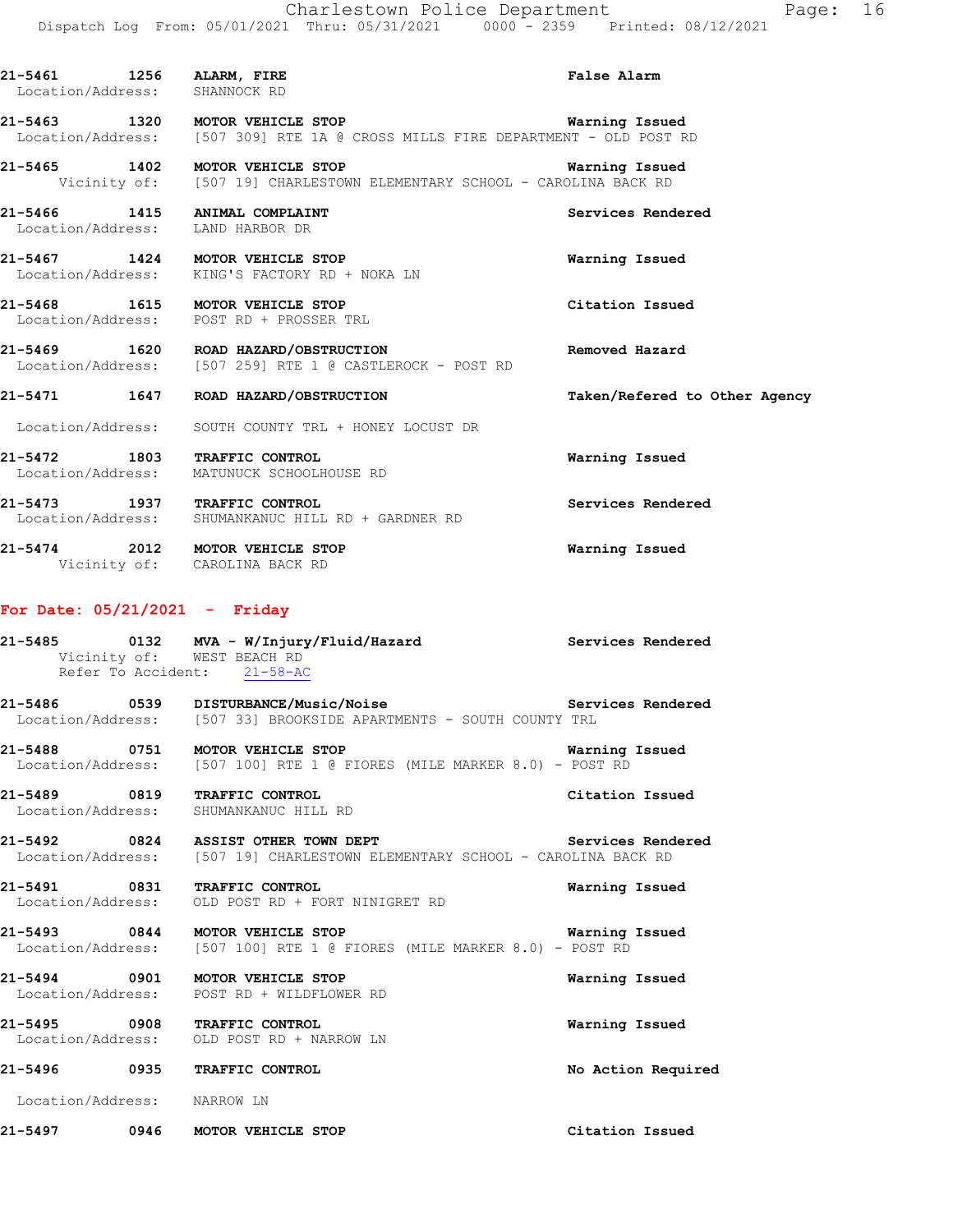| 21-5461 1256 ALARM, FIRE<br>Location/Address: SHANNOCK RD |                                                                                                                                           | <b>False Alarm</b>            |
|-----------------------------------------------------------|-------------------------------------------------------------------------------------------------------------------------------------------|-------------------------------|
|                                                           | 21-5463 1320 MOTOR VEHICLE STOP Warning Issued<br>Location/Address: [507 309] RTE 1A @ CROSS MILLS FIRE DEPARTMENT - OLD POST RD          |                               |
|                                                           | 21-5465 1402 MOTOR VEHICLE STOP <b>1200 1402</b> Marning Issued<br>Vicinity of: [507 19] CHARLESTOWN ELEMENTARY SCHOOL - CAROLINA BACK RD |                               |
|                                                           | 21-5466 1415 ANIMAL COMPLAINT<br>Location/Address: LAND HARBOR DR                                                                         | Services Rendered             |
|                                                           | 21-5467 1424 MOTOR VEHICLE STOP<br>Location/Address: KING'S FACTORY RD + NOKA LN                                                          | Warning Issued                |
|                                                           | 21-5468 1615 MOTOR VEHICLE STOP<br>Location/Address: POST RD + PROSSER TRL                                                                | Citation Issued               |
|                                                           | 21-5469 1620 ROAD HAZARD/OBSTRUCTION<br>Location/Address: [507 259] RTE 1 @ CASTLEROCK - POST RD                                          | Removed Hazard                |
|                                                           | 21-5471 1647 ROAD HAZARD/OBSTRUCTION                                                                                                      | Taken/Refered to Other Agency |
|                                                           | Location/Address: SOUTH COUNTY TRL + HONEY LOCUST DR                                                                                      |                               |
|                                                           | 21-5472 1803 TRAFFIC CONTROL<br>Location/Address: MATUNUCK SCHOOLHOUSE RD                                                                 | Warning Issued                |
|                                                           | 21-5473 1937 TRAFFIC CONTROL<br>Location/Address: SHUMANKANUC HILL RD + GARDNER RD                                                        | Services Rendered             |
|                                                           | 21-5474 2012 MOTOR VEHICLE STOP<br>Vicinity of: CAROLINA BACK RD                                                                          | Warning Issued                |
| For Date: $05/21/2021$ - Friday                           |                                                                                                                                           |                               |
|                                                           | 21-5485 0132 MVA - W/Injury/Fluid/Hazard Services Rendered<br>Vicinity of: WEST BEACH RD<br>Refer To Accident: 21-58-AC                   |                               |
|                                                           | 21-5486 0539 DISTURBANCE/Music/Noise<br>Location/Address: [507 33] BROOKSIDE APARTMENTS - SOUTH COUNTY TRL                                | Services Rendered             |
|                                                           | 21-5488 0751 MOTOR VEHICLE STOP Warning<br>Location/Address: [507 100] RTE 1 @ FIORES (MILE MARKER 8.0) - POST RD                         | Warning Issued                |

**21-5489 0819 TRAFFIC CONTROL Citation Issued**  Location/Address: SHUMANKANUC HILL RD

21-5492 **0824** ASSIST OTHER TOWN DEPT **Services Rendered** Location/Address: [507 19] CHARLESTOWN ELEMENTARY SCHOOL - CAROLINA BACK RD

**21-5491 0831 TRAFFIC CONTROL Warning Issued**  Location/Address: OLD POST RD + FORT NINIGRET RD

**21-5493 0844 MOTOR VEHICLE STOP Warning Issued**  Location/Address: [507 100] RTE 1 @ FIORES (MILE MARKER 8.0) - POST RD

**21-5494 0901 MOTOR VEHICLE STOP Warning Issued**  Location/Address: POST RD + WILDFLOWER RD

**21-5495 0908 TRAFFIC CONTROL Warning Issued**  Location/Address: OLD POST RD + NARROW LN

**21-5496 0935 TRAFFIC CONTROL No Action Required**  Location/Address: NARROW LN

**21-5497 0946 MOTOR VEHICLE STOP Citation Issued**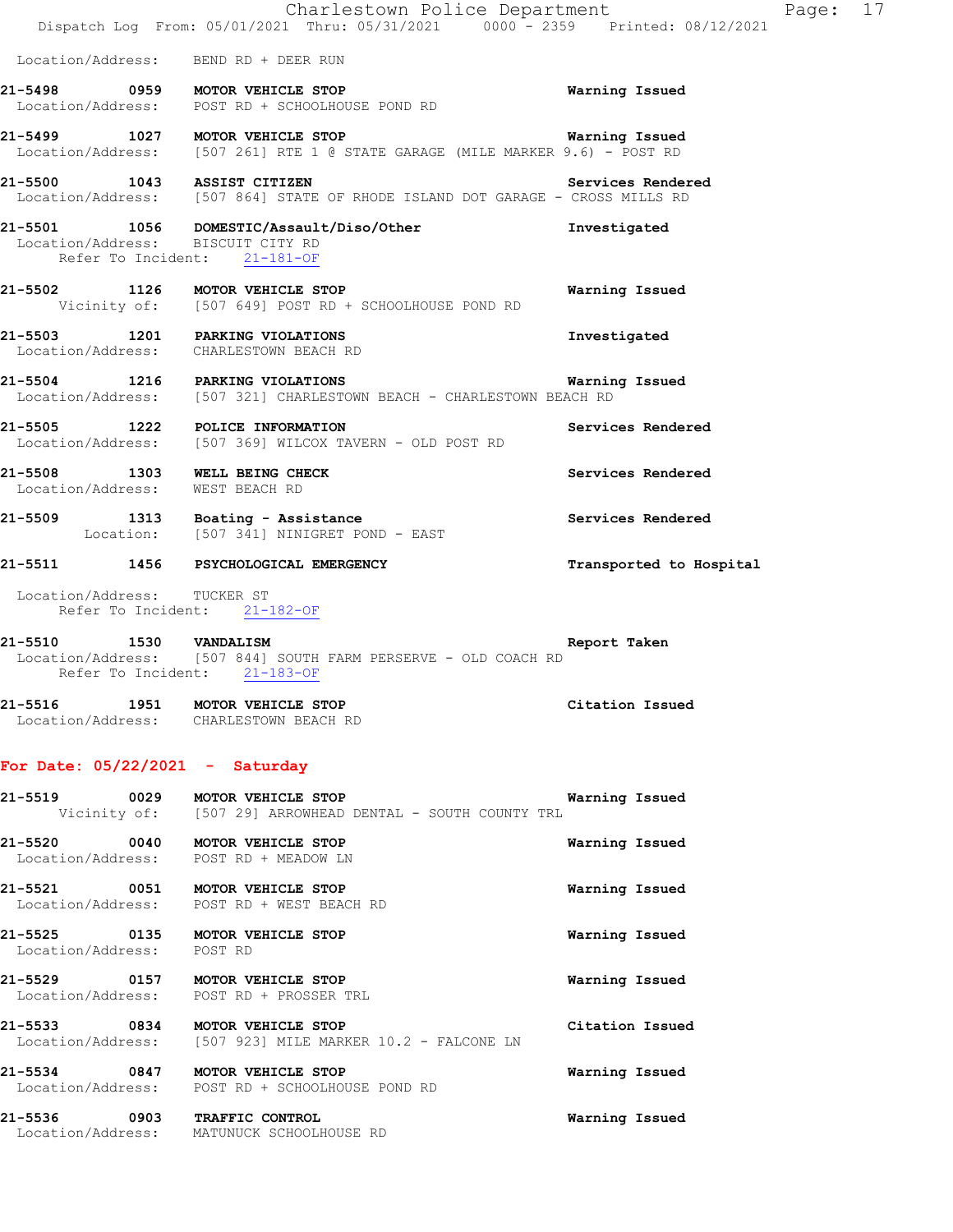|                                                                           | Charlestown Police Department<br>Dispatch Log From: 05/01/2021 Thru: 05/31/2021 0000 - 2359 Printed: 08/12/2021              |                         |
|---------------------------------------------------------------------------|------------------------------------------------------------------------------------------------------------------------------|-------------------------|
| Location/Address: BEND RD + DEER RUN                                      |                                                                                                                              |                         |
|                                                                           | 21-5498 0959 MOTOR VEHICLE STOP<br>Location/Address: POST RD + SCHOOLHOUSE POND RD                                           | Warning Issued          |
| 21-5499 1027 MOTOR VEHICLE STOP                                           | Location/Address: [507 261] RTE 1 @ STATE GARAGE (MILE MARKER 9.6) - POST RD                                                 | Warning Issued          |
|                                                                           | 21-5500 1043 ASSIST CITIZEN Services Render<br>Location/Address: [507 864] STATE OF RHODE ISLAND DOT GARAGE - CROSS MILLS RD | Services Rendered       |
| Location/Address: BISCUIT CITY RD<br>Refer To Incident: 21-181-OF         | 21-5501 1056 DOMESTIC/Assault/Diso/Other Threstigated                                                                        |                         |
|                                                                           | 21-5502 1126 MOTOR VEHICLE STOP<br>Vicinity of: [507 649] POST RD + SCHOOLHOUSE POND RD                                      | <b>Warning Issued</b>   |
| 21-5503 1201 PARKING VIOLATIONS<br>Location/Address: CHARLESTOWN BEACH RD |                                                                                                                              | Investigated            |
| 21-5504 1216 PARKING VIOLATIONS                                           | Location/Address: [507 321] CHARLESTOWN BEACH - CHARLESTOWN BEACH RD                                                         | Warning Issued          |
|                                                                           | 21-5505 1222 POLICE INFORMATION<br>Location/Address: [507 369] WILCOX TAVERN - OLD POST RD                                   | Services Rendered       |
| 21-5508 1303 WELL BEING CHECK<br>Location/Address: WEST BEACH RD          |                                                                                                                              | Services Rendered       |
|                                                                           | 21-5509 1313 Boating - Assistance<br>Location: [507 341] NINIGRET POND - EAST                                                | Services Rendered       |
|                                                                           | 21-5511 1456 PSYCHOLOGICAL EMERGENCY                                                                                         | Transported to Hospital |
| Location/Address: TUCKER ST<br>Refer To Incident: 21-182-OF               |                                                                                                                              |                         |
| 21-5510 1530 VANDALISM<br>Refer To Incident: 21-183-OF                    | Location/Address: [507 844] SOUTH FARM PERSERVE - OLD COACH RD                                                               | Report Taken            |
| 21-5516 1951 MOTOR VEHICLE STOP<br>Location/Address: CHARLESTOWN BEACH RD |                                                                                                                              | Citation Issued         |
| For Date: $05/22/2021$ - Saturday                                         |                                                                                                                              |                         |

Page: 17

**21-5519 0029 MOTOR VEHICLE STOP Warning Issued**  Vicinity of: [507 29] ARROWHEAD DENTAL - SOUTH COUNTY TRL

**21-5520 0040 MOTOR VEHICLE STOP Warning Issued**  Location/Address: POST RD + MEADOW LN

**21-5521 0051 MOTOR VEHICLE STOP Warning Issued**  Location/Address: POST RD + WEST BEACH RD

**21-5525 0135 MOTOR VEHICLE STOP Warning Issued**  Location/Address: POST RD

**21-5529 0157 MOTOR VEHICLE STOP Warning Issued**  Location/Address: POST RD + PROSSER TRL

**21-5533 0834 MOTOR VEHICLE STOP Citation Issued**  Location/Address: [507 923] MILE MARKER 10.2 - FALCONE LN

**21-5534 0847 MOTOR VEHICLE STOP Warning Issued**  Location/Address: POST RD + SCHOOLHOUSE POND RD

**21-5536 0903 TRAFFIC CONTROL Warning Issued**  Location/Address: MATUNUCK SCHOOLHOUSE RD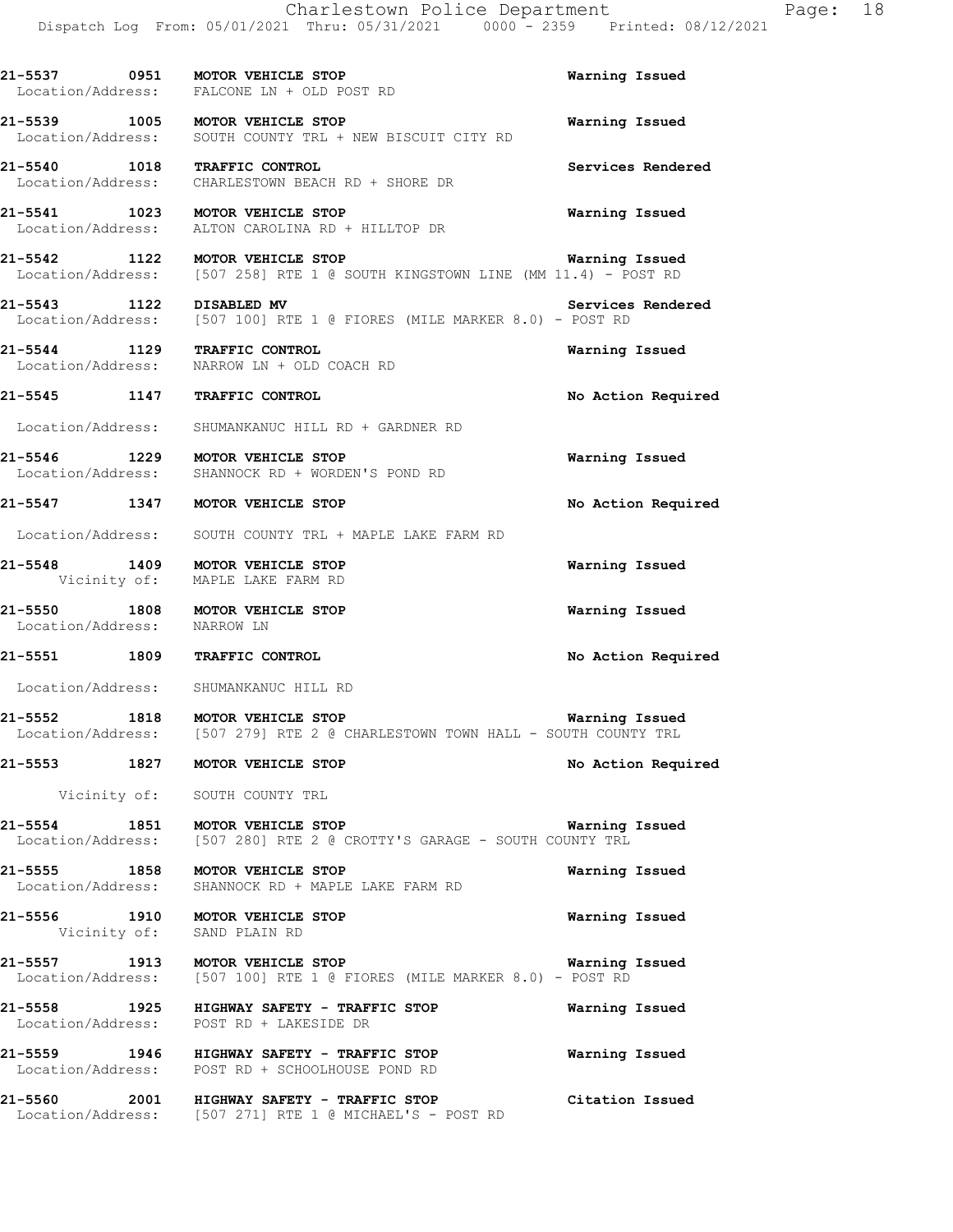**21-5537 0951 MOTOR VEHICLE STOP Warning Issued**  Location/Address: FALCONE LN + OLD POST RD **21-5539 1005 MOTOR VEHICLE STOP Warning Issued**  Location/Address: SOUTH COUNTY TRL + NEW BISCUIT CITY RD **21-5540 1018 TRAFFIC CONTROL Services Rendered**  Location/Address: CHARLESTOWN BEACH RD + SHORE DR **21-5541 1023 MOTOR VEHICLE STOP Warning Issued**  Location/Address: ALTON CAROLINA RD + HILLTOP DR **21-5542 1122 MOTOR VEHICLE STOP Warning Issued**  Location/Address: [507 258] RTE 1 @ SOUTH KINGSTOWN LINE (MM 11.4) - POST RD **21-5543 1122 DISABLED MV Services Rendered**  Location/Address: [507 100] RTE 1 @ FIORES (MILE MARKER 8.0) - POST RD **21-5544 1129 TRAFFIC CONTROL Warning Issued**  Location/Address: NARROW LN + OLD COACH RD **21-5545 1147 TRAFFIC CONTROL No Action Required**  Location/Address: SHUMANKANUC HILL RD + GARDNER RD **21-5546 1229 MOTOR VEHICLE STOP Warning Issued**  Location/Address: SHANNOCK RD + WORDEN'S POND RD **21-5547 1347 MOTOR VEHICLE STOP No Action Required**  Location/Address: SOUTH COUNTY TRL + MAPLE LAKE FARM RD **21-5548 1409 MOTOR VEHICLE STOP Warning Issued**  Vicinity of: MAPLE LAKE FARM RD **21-5550 1808 MOTOR VEHICLE STOP Warning Issued**  Location/Address: NARROW LN **21-5551 1809 TRAFFIC CONTROL No Action Required**  Location/Address: SHUMANKANUC HILL RD **21-5552 1818 MOTOR VEHICLE STOP Warning Issued**  Location/Address: [507 279] RTE 2 @ CHARLESTOWN TOWN HALL - SOUTH COUNTY TRL **21-5553 1827 MOTOR VEHICLE STOP No Action Required**  Vicinity of: SOUTH COUNTY TRL **21-5554 1851 MOTOR VEHICLE STOP Warning Issued**  Location/Address: [507 280] RTE 2 @ CROTTY'S GARAGE - SOUTH COUNTY TRL **21-5555 1858 MOTOR VEHICLE STOP Warning Issued** Location/Address: SHANNOCK RD + MAPLE LAKE FARM RD SHANNOCK RD + MAPLE LAKE FARM RD **21-5556 1910 MOTOR VEHICLE STOP Warning Issued**  Vicinity of: SAND PLAIN RD **21-5557 1913 MOTOR VEHICLE STOP Warning Issued**  Location/Address: [507 100] RTE 1 @ FIORES (MILE MARKER 8.0) - POST RD **21-5558 1925 HIGHWAY SAFETY - TRAFFIC STOP Warning Issued**  Location/Address: POST RD + LAKESIDE DR **21-5559 1946 HIGHWAY SAFETY - TRAFFIC STOP Warning Issued**  Location/Address: POST RD + SCHOOLHOUSE POND RD **21-5560 2001 HIGHWAY SAFETY - TRAFFIC STOP Citation Issued**  Location/Address: [507 271] RTE 1 @ MICHAEL'S - POST RD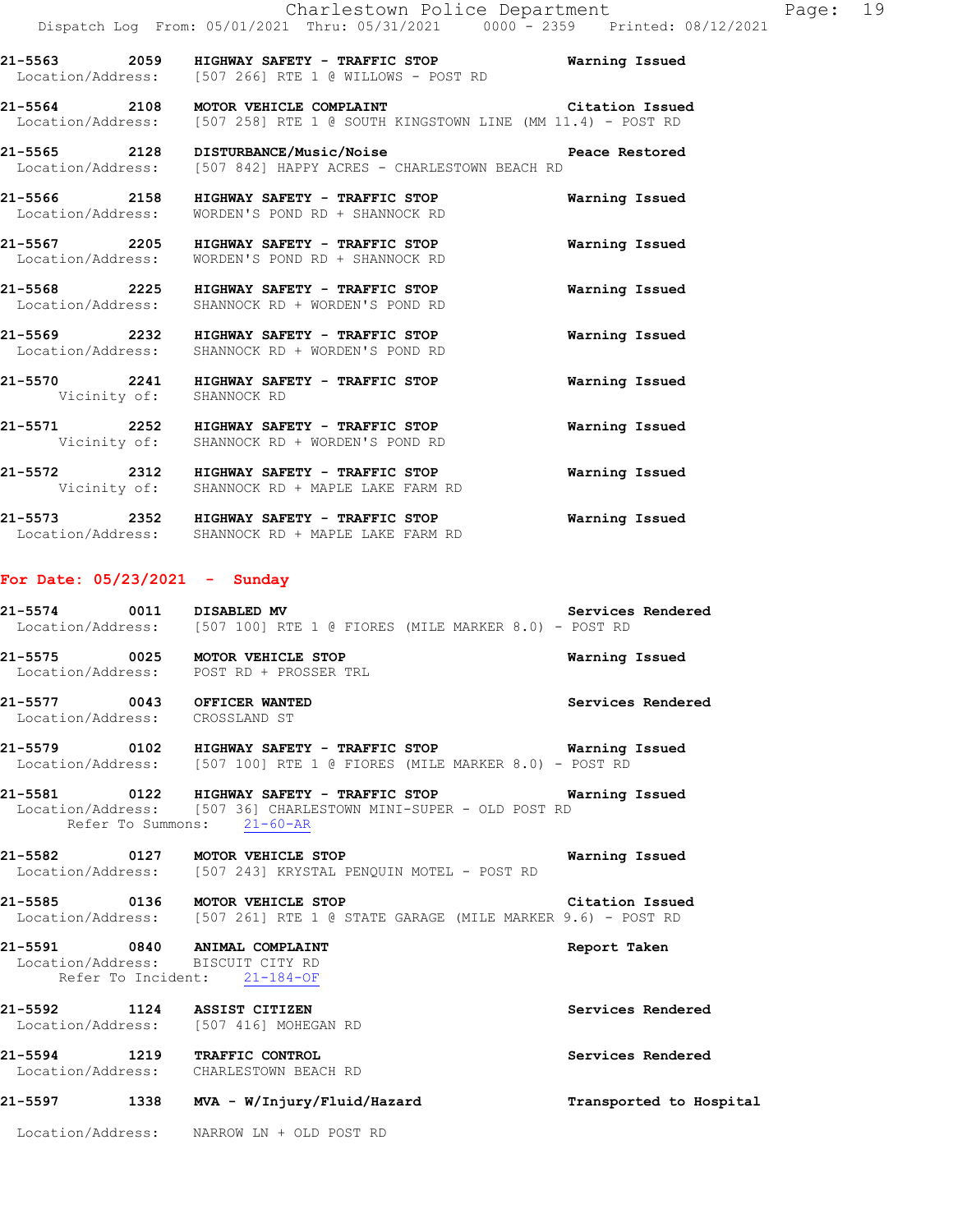Location/Address: WORDEN'S POND RD + SHANNOCK RD **21-5568 2225 HIGHWAY SAFETY - TRAFFIC STOP Warning Issued**  Location/Address: SHANNOCK RD + WORDEN'S POND RD **21-5569 2232 HIGHWAY SAFETY - TRAFFIC STOP Warning Issued**  Location/Address: SHANNOCK RD + WORDEN'S POND RD **21-5570 2241 HIGHWAY SAFETY - TRAFFIC STOP Warning Issued**  Vicinity of: SHANNOCK RD **21-5571 2252 HIGHWAY SAFETY - TRAFFIC STOP Warning Issued**  Vicinity of: SHANNOCK RD + WORDEN'S POND RD **21-5572 2312 HIGHWAY SAFETY - TRAFFIC STOP Warning Issued** 

**21-5573 2352 HIGHWAY SAFETY - TRAFFIC STOP Warning Issued**  Location/Address: SHANNOCK RD + MAPLE LAKE FARM RD

Vicinity of: SHANNOCK RD + MAPLE LAKE FARM RD

### **For Date: 05/23/2021 - Sunday**

**21-5574 0011 DISABLED MV Services Rendered**  Location/Address: [507 100] RTE 1 @ FIORES (MILE MARKER 8.0) - POST RD **21-5575 0025 MOTOR VEHICLE STOP Warning Issued**  Location/Address: POST RD + PROSSER TRL **21-5577 0043 OFFICER WANTED Services Rendered**  Location/Address: CROSSLAND ST **21-5579 0102 HIGHWAY SAFETY - TRAFFIC STOP Warning Issued**  Location/Address: [507 100] RTE 1 @ FIORES (MILE MARKER 8.0) - POST RD **21-5581 0122 HIGHWAY SAFETY - TRAFFIC STOP Warning Issued**  Location/Address: [507 36] CHARLESTOWN MINI-SUPER - OLD POST RD Refer To Summons: 21-60-AR **21-5582 0127 MOTOR VEHICLE STOP Warning Issued**  Location/Address: [507 243] KRYSTAL PENQUIN MOTEL - POST RD **21-5585 0136 MOTOR VEHICLE STOP Citation Issued**  Location/Address: [507 261] RTE 1 @ STATE GARAGE (MILE MARKER 9.6) - POST RD

## **21-5591 0840 ANIMAL COMPLAINT Report Taken**  Location/Address: BISCUIT CITY RD Refer To Incident: 21-184-OF

**21-5592 1124 ASSIST CITIZEN Services Rendered**  Location/Address: [507 416] MOHEGAN RD **21-5594 1219 TRAFFIC CONTROL Services Rendered**  Location/Address: CHARLESTOWN BEACH RD

**21-5597 1338 MVA - W/Injury/Fluid/Hazard Transported to Hospital** 

Location/Address: NARROW LN + OLD POST RD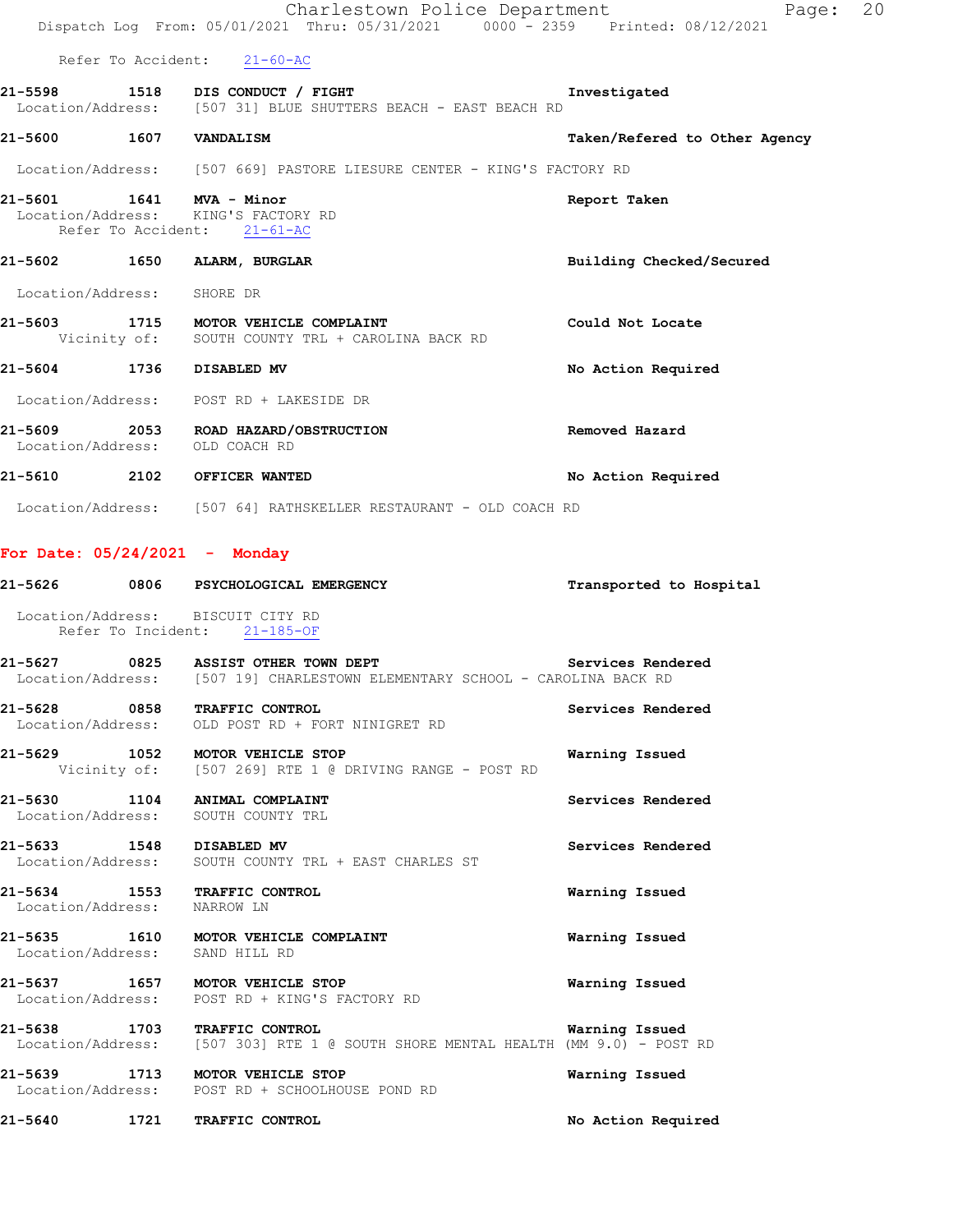|                                   | Charlestown Police Department<br>Dispatch Log From: 05/01/2021 Thru: 05/31/2021 0000 <sup>-</sup> 2359 Printed: 08/12/2021 | Page: 20                      |
|-----------------------------------|----------------------------------------------------------------------------------------------------------------------------|-------------------------------|
|                                   | Refer To Accident: 21-60-AC                                                                                                |                               |
|                                   | 21-5598 1518 DIS CONDUCT / FIGHT<br>Location/Address: [507 31] BLUE SHUTTERS BEACH - EAST BEACH RD                         | Investigated                  |
| 21-5600 1607 VANDALISM            |                                                                                                                            | Taken/Refered to Other Agency |
|                                   | Location/Address: [507 669] PASTORE LIESURE CENTER - KING'S FACTORY RD                                                     |                               |
| 21-5601 1641 MVA - Minor          | Location/Address: KING'S FACTORY RD<br>Refer To Accident: 21-61-AC                                                         | Report Taken                  |
|                                   |                                                                                                                            | Building Checked/Secured      |
| Location/Address: SHORE DR        |                                                                                                                            |                               |
|                                   | 21-5603 1715 MOTOR VEHICLE COMPLAINT<br>Vicinity of: SOUTH COUNTY TRL + CAROLINA BACK RD                                   | Could Not Locate              |
| 21-5604 1736 DISABLED MV          |                                                                                                                            | No Action Required            |
|                                   | Location/Address: POST RD + LAKESIDE DR                                                                                    |                               |
|                                   | 21-5609 2053 ROAD HAZARD/OBSTRUCTION<br>Location/Address: OLD COACH RD                                                     | Removed Hazard                |
|                                   | 21-5610 2102 OFFICER WANTED                                                                                                | No Action Required            |
|                                   | Location/Address: [507 64] RATHSKELLER RESTAURANT - OLD COACH RD                                                           |                               |
| For Date: $05/24/2021$ - Monday   |                                                                                                                            |                               |
|                                   |                                                                                                                            | Transported to Hospital       |
|                                   | Location/Address: BISCUIT CITY RD<br>Refer To Incident: 21-185-OF                                                          |                               |
|                                   | 21-5627 0825 ASSIST OTHER TOWN DEPT<br>Location/Address: [507 19] CHARLESTOWN ELEMENTARY SCHOOL - CAROLINA BACK RD         | Services Rendered             |
| 21-5628 0858<br>Location/Address: | TRAFFIC CONTROL<br>OLD POST RD + FORT NINIGRET RD                                                                          | Services Rendered             |
|                                   | 21-5629 1052 MOTOR VEHICLE STOP<br>Vicinity of: [507 269] RTE 1 @ DRIVING RANGE - POST RD                                  | Warning Issued                |
|                                   | 21-5630 1104 ANIMAL COMPLAINT<br>Location/Address: SOUTH COUNTY TRL                                                        | Services Rendered             |
| 21-5633 1548 DISABLED MV          | Location/Address: SOUTH COUNTY TRL + EAST CHARLES ST                                                                       | Services Rendered             |
| Location/Address: NARROW LN       | 21-5634 1553 TRAFFIC CONTROL                                                                                               | Warning Issued                |
| Location/Address: SAND HILL RD    | 21-5635 1610 MOTOR VEHICLE COMPLAINT                                                                                       | Warning Issued                |
|                                   | 21-5637 1657 MOTOR VEHICLE STOP<br>Location/Address: POST RD + KING'S FACTORY RD                                           | Warning Issued                |
|                                   | 21-5638 1703 TRAFFIC CONTROL<br>Location/Address: [507 303] RTE 1 @ SOUTH SHORE MENTAL HEALTH (MM 9.0) - POST RD           | Warning Issued                |
|                                   | 21-5639 1713 MOTOR VEHICLE STOP<br>Location/Address: POST RD + SCHOOLHOUSE POND RD                                         | Warning Issued                |
|                                   | 21-5640 1721 TRAFFIC CONTROL                                                                                               | No Action Required            |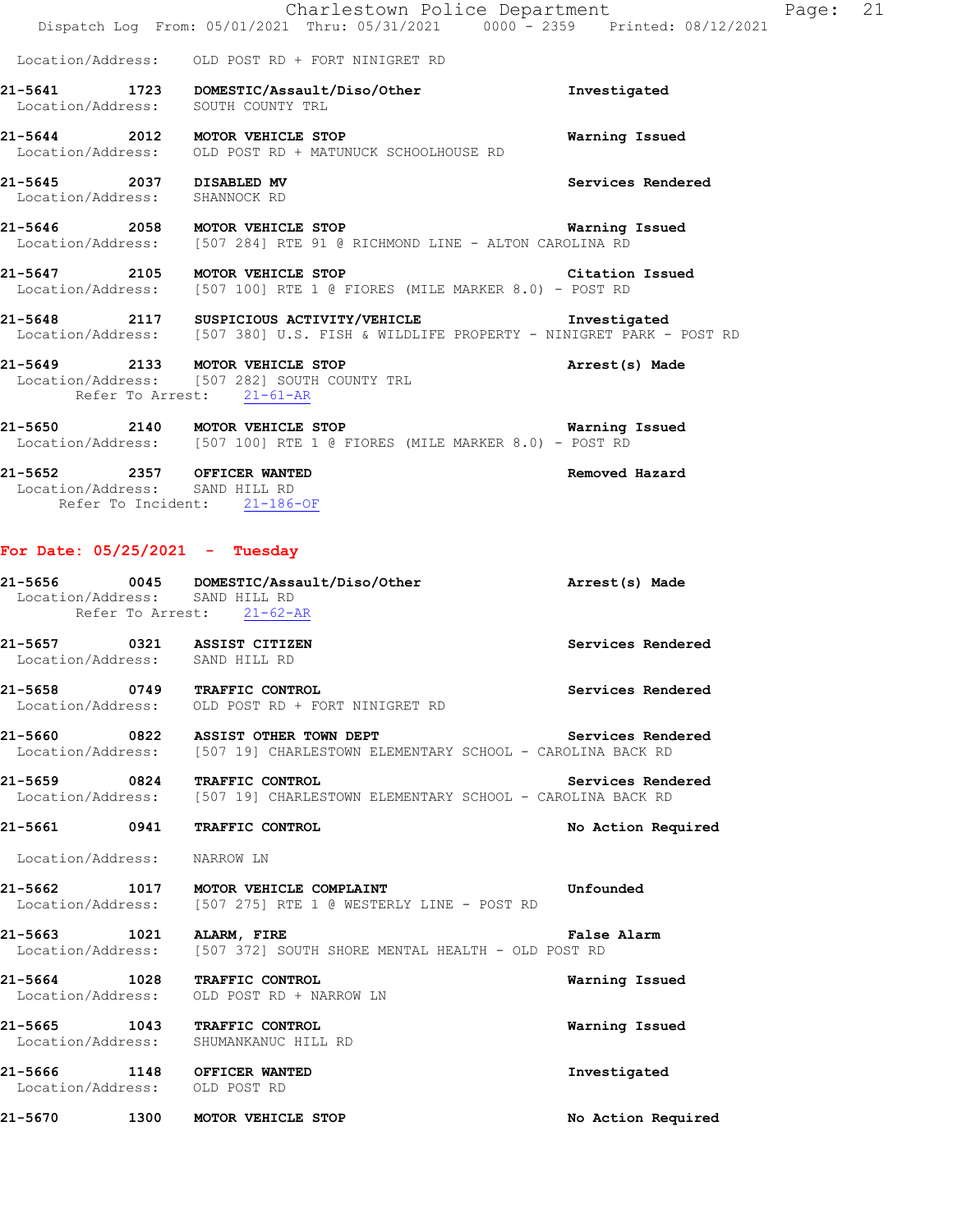|                                                                                               | Charlestown Police Department<br>Dispatch Log From: 05/01/2021 Thru: 05/31/2021 0000 - 2359 Printed: 08/12/2021                                                                              | Page: 21           |  |
|-----------------------------------------------------------------------------------------------|----------------------------------------------------------------------------------------------------------------------------------------------------------------------------------------------|--------------------|--|
|                                                                                               | Location/Address: OLD POST RD + FORT NINIGRET RD                                                                                                                                             |                    |  |
|                                                                                               | 21-5641 1723 DOMESTIC/Assault/Diso/Other<br>Location/Address: SOUTH COUNTY TRL                                                                                                               | Investigated       |  |
|                                                                                               | 21-5644 2012 MOTOR VEHICLE STOP<br>Location/Address: OLD POST RD + MATUNUCK SCHOOLHOUSE RD                                                                                                   | Warning Issued     |  |
| 21-5645 2037 DISABLED MV<br>Location/Address: SHANNOCK RD                                     |                                                                                                                                                                                              | Services Rendered  |  |
|                                                                                               | 21-5646 2058 MOTOR VEHICLE STOP Narning Issued<br>Location/Address: [507 284] RTE 91 @ RICHMOND LINE - ALTON CAROLINA RD                                                                     |                    |  |
|                                                                                               | 21-5647 2105 MOTOR VEHICLE STOP<br>Location/Address: [507 100] RTE 1 @ FIORES (MILE MARKER 8.0) - POST RD                                                                                    | Citation Issued    |  |
|                                                                                               | 21-5648 2117 SUSPICIOUS ACTIVITY/VEHICLE <b>Subset of the Superior Contract Contract</b> Investigated<br>Location/Address: [507 380] U.S. FISH & WILDLIFE PROPERTY - NINIGRET PARK - POST RD |                    |  |
| Refer To Arrest: 21-61-AR                                                                     | 21-5649 2133 MOTOR VEHICLE STOP<br>Location/Address: [507 282] SOUTH COUNTY TRL                                                                                                              | Arrest(s) Made     |  |
|                                                                                               | Location/Address: [507 100] RTE 1 @ FIORES (MILE MARKER 8.0) - POST RD                                                                                                                       |                    |  |
| 21-5652 2357 OFFICER WANTED<br>Location/Address: SAND HILL RD<br>Refer To Incident: 21-186-OF |                                                                                                                                                                                              | Removed Hazard     |  |
| For Date: $05/25/2021$ - Tuesday                                                              |                                                                                                                                                                                              |                    |  |
| Location/Address: SAND HILL RD<br>Refer To Arrest: 21-62-AR                                   | 21-5656 0045 DOMESTIC/Assault/Diso/Other                                                                                                                                                     | Arrest(s) Made     |  |
| 21-5657 0321 ASSIST CITIZEN<br>Location/Address: SAND HILL RD                                 |                                                                                                                                                                                              | Services Rendered  |  |
| 21-5658 0749                                                                                  | <b>TRAFFIC CONTROL</b><br>Location/Address: OLD POST RD + FORT NINIGRET RD                                                                                                                   | Services Rendered  |  |
|                                                                                               | 21-5660 0822 ASSIST OTHER TOWN DEPT<br>Location/Address: [507 19] CHARLESTOWN ELEMENTARY SCHOOL - CAROLINA BACK RD                                                                           | Services Rendered  |  |
|                                                                                               | 21-5659 0824 TRAFFIC CONTROL Services Rend<br>Location/Address: [507 19] CHARLESTOWN ELEMENTARY SCHOOL - CAROLINA BACK RD                                                                    | Services Rendered  |  |
| 21-5661 0941 TRAFFIC CONTROL                                                                  |                                                                                                                                                                                              | No Action Required |  |
| Location/Address: NARROW LN                                                                   |                                                                                                                                                                                              |                    |  |
|                                                                                               | 21-5662 1017 MOTOR VEHICLE COMPLAINT<br>Location/Address: [507 275] RTE 1 @ WESTERLY LINE - POST RD                                                                                          | Unfounded          |  |
| 21-5663 1021 ALARM, FIRE                                                                      | Location/Address: [507 372] SOUTH SHORE MENTAL HEALTH - OLD POST RD                                                                                                                          | False Alarm        |  |
| 21-5664 1028 TRAFFIC CONTROL                                                                  | Location/Address: OLD POST RD + NARROW LN                                                                                                                                                    | Warning Issued     |  |
| 21-5665 1043 TRAFFIC CONTROL<br>Location/Address: SHUMANKANUC HILL RD                         |                                                                                                                                                                                              | Warning Issued     |  |
| 21-5666 1148 OFFICER WANTED<br>Location/Address: OLD POST RD                                  |                                                                                                                                                                                              | Investigated       |  |
| 21-5670 1300 MOTOR VEHICLE STOP                                                               |                                                                                                                                                                                              | No Action Required |  |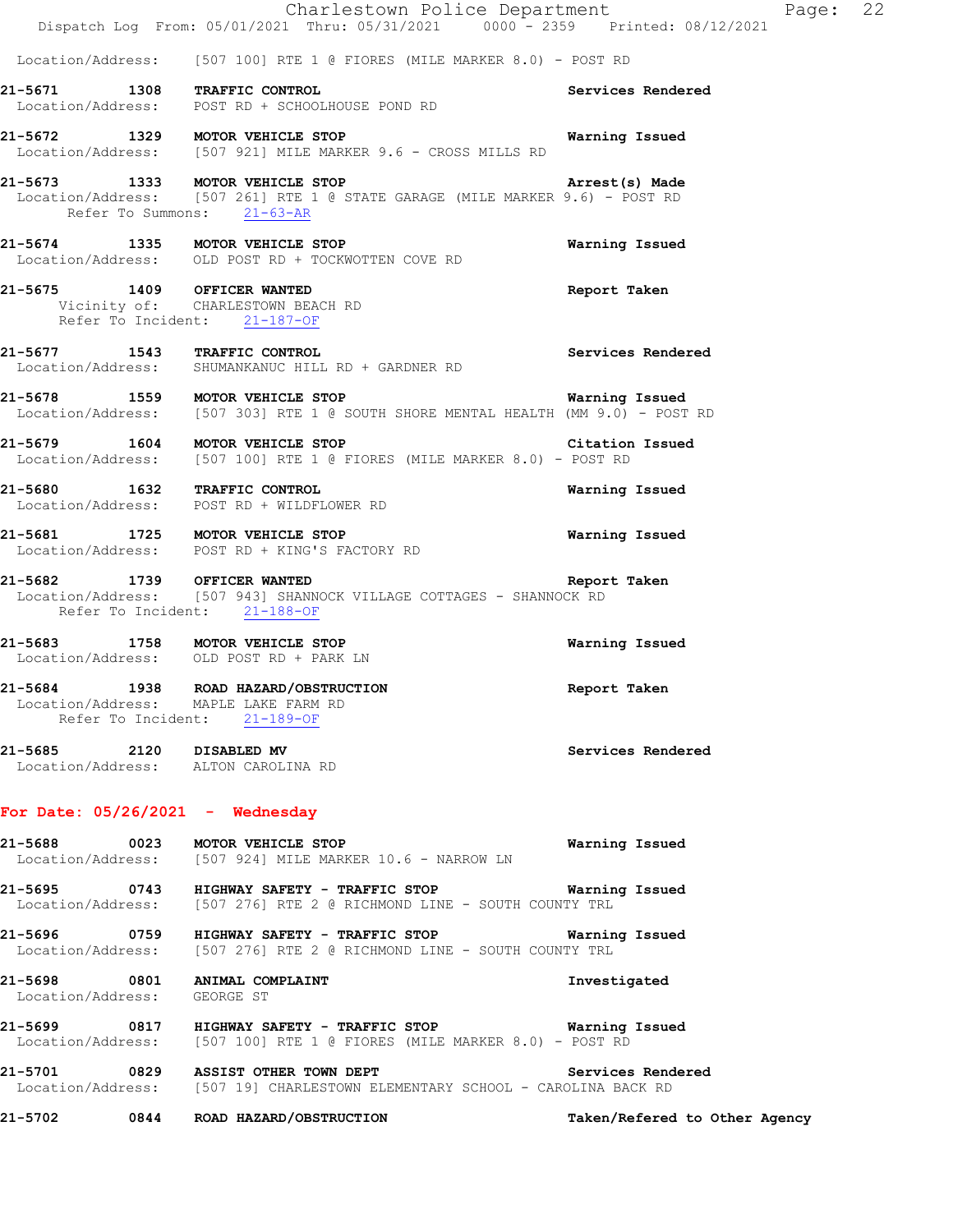|                             | Charlestown Police Department<br>Dispatch Log From: 05/01/2021 Thru: 05/31/2021 0000 <sup>-</sup> 2359 Printed: 08/12/2021                                   |                               | Page: 22 |  |
|-----------------------------|--------------------------------------------------------------------------------------------------------------------------------------------------------------|-------------------------------|----------|--|
|                             | Location/Address: [507 100] RTE 1 @ FIORES (MILE MARKER 8.0) - POST RD                                                                                       |                               |          |  |
|                             | 21-5671 1308 TRAFFIC CONTROL<br>Location/Address: POST RD + SCHOOLHOUSE POND RD                                                                              | Services Rendered             |          |  |
|                             | 21-5672 1329 MOTOR VEHICLE STOP<br>Location/Address: [507 921] MILE MARKER 9.6 - CROSS MILLS RD                                                              | Warning Issued                |          |  |
|                             | 21-5673 1333 MOTOR VEHICLE STOP Arrest(s) Made<br>Location/Address: [507 261] RTE 1 @ STATE GARAGE (MILE MARKER 9.6) - POST RD<br>Refer To Summons: 21-63-AR | Arrest(s) Made                |          |  |
|                             | 21-5674 1335 MOTOR VEHICLE STOP<br>Location/Address: OLD POST RD + TOCKWOTTEN COVE RD                                                                        | Warning Issued                |          |  |
|                             | 21-5675 1409 OFFICER WANTED<br>Vicinity of: CHARLESTOWN BEACH RD<br>Refer To Incident: 21-187-OF                                                             | Report Taken                  |          |  |
|                             | 21-5677 1543 TRAFFIC CONTROL<br>Location/Address: SHUMANKANUC HILL RD + GARDNER RD                                                                           | Services Rendered             |          |  |
|                             | 21-5678 1559 MOTOR VEHICLE STOP<br>Location/Address: [507 303] RTE 1 @ SOUTH SHORE MENTAL HEALTH (MM 9.0) - POST RD                                          | Warning Issued                |          |  |
|                             | 21-5679 1604 MOTOR VEHICLE STOP Citation Issued<br>Location/Address: [507 100] RTE 1 @ FIORES (MILE MARKER 8.0) - POST RD                                    |                               |          |  |
|                             | 21-5680 1632 TRAFFIC CONTROL<br>Location/Address: POST RD + WILDFLOWER RD                                                                                    | Warning Issued                |          |  |
|                             | 21-5681 1725 MOTOR VEHICLE STOP<br>Location/Address: POST RD + KING'S FACTORY RD                                                                             | Warning Issued                |          |  |
| 21-5682 1739 OFFICER WANTED | Location/Address: [507 943] SHANNOCK VILLAGE COTTAGES - SHANNOCK RD<br>Refer To Incident: 21-188-OF                                                          | Report Taken                  |          |  |
|                             | 21-5683 1758 MOTOR VEHICLE STOP<br>Location/Address: OLD POST RD + PARK LN                                                                                   | Warning Issued                |          |  |
|                             | 21-5684 1938 ROAD HAZARD/OBSTRUCTION<br>Location/Address: MAPLE LAKE FARM RD<br>Refer To Incident: 21-189-OF                                                 | Report Taken                  |          |  |
|                             | 21-5685 2120 DISABLED MV<br>Location/Address: ALTON CAROLINA RD                                                                                              | Services Rendered             |          |  |
|                             | For Date: $05/26/2021$ - Wednesday                                                                                                                           |                               |          |  |
|                             | 21-5688 0023 MOTOR VEHICLE STOP<br>Location/Address: [507 924] MILE MARKER 10.6 - NARROW LN                                                                  | Warning Issued                |          |  |
|                             | 21-5695 0743 HIGHWAY SAFETY - TRAFFIC STOP Warning Issued<br>Location/Address: [507 276] RTE 2 @ RICHMOND LINE - SOUTH COUNTY TRL                            |                               |          |  |
|                             | 21-5696 0759 HIGHWAY SAFETY - TRAFFIC STOP 60 Warning Issued<br>Location/Address: [507 276] RTE 2 @ RICHMOND LINE - SOUTH COUNTY TRL                         |                               |          |  |
| Location/Address: GEORGE ST | 21-5698 0801 ANIMAL COMPLAINT                                                                                                                                | Investigated                  |          |  |
|                             | 21-5699 0817 HIGHWAY SAFETY - TRAFFIC STOP Warning Issued<br>  Location/Address: [507 100] RTE 1 @ FIORES (MILE MARKER 8.0) - POST RD                        |                               |          |  |
|                             | 21-5701 0829 ASSIST OTHER TOWN DEPT<br>Location/Address: [507 19] CHARLESTOWN ELEMENTARY SCHOOL - CAROLINA BACK RD                                           | Services Rendered             |          |  |
|                             | 21-5702 0844 ROAD HAZARD/OBSTRUCTION                                                                                                                         | Taken/Refered to Other Agency |          |  |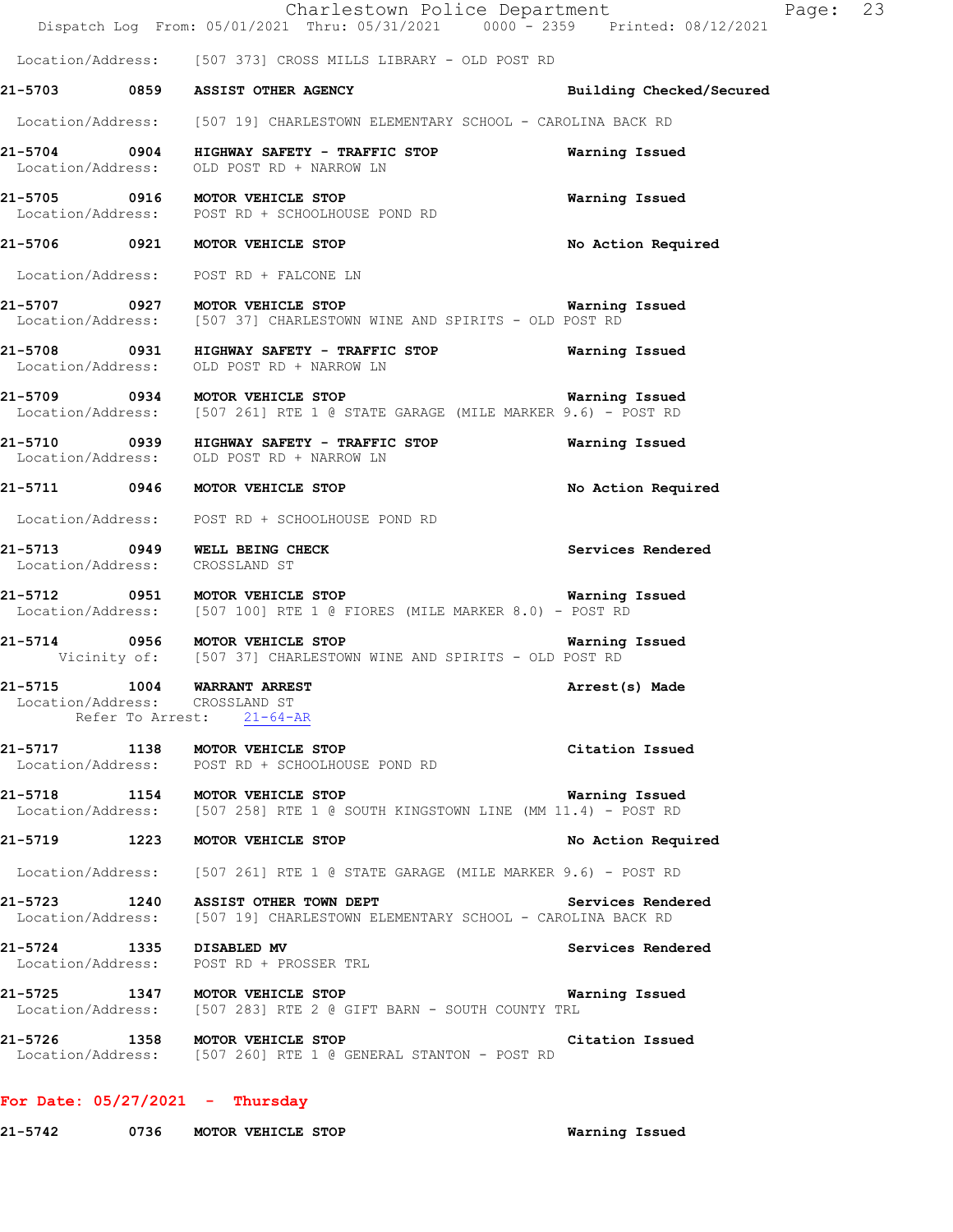|                                                               | Charlestown Police Department<br>Dispatch Log From: 05/01/2021 Thru: 05/31/2021 0000 - 2359 Printed: 08/12/2021                                         |                          | Page: 23 |  |
|---------------------------------------------------------------|---------------------------------------------------------------------------------------------------------------------------------------------------------|--------------------------|----------|--|
|                                                               | Location/Address: [507 373] CROSS MILLS LIBRARY - OLD POST RD                                                                                           |                          |          |  |
|                                                               | 21-5703 0859 ASSIST OTHER AGENCY                                                                                                                        | Building Checked/Secured |          |  |
|                                                               |                                                                                                                                                         |                          |          |  |
|                                                               | Location/Address: [507 19] CHARLESTOWN ELEMENTARY SCHOOL - CAROLINA BACK RD                                                                             |                          |          |  |
|                                                               | 21-5704 0904 HIGHWAY SAFETY - TRAFFIC STOP<br>Location/Address: OLD POST RD + NARROW LN                                                                 | Warning Issued           |          |  |
|                                                               | 21-5705 0916 MOTOR VEHICLE STOP<br>Location/Address: POST RD + SCHOOLHOUSE POND RD                                                                      | Warning Issued           |          |  |
|                                                               | 21-5706 0921 MOTOR VEHICLE STOP                                                                                                                         | No Action Required       |          |  |
|                                                               | Location/Address: POST RD + FALCONE LN                                                                                                                  |                          |          |  |
|                                                               | 21-5707 0927 MOTOR VEHICLE STOP <b>120 CONTRACT STOP</b> Warning Issued<br>Location/Address: [507 37] CHARLESTOWN WINE AND SPIRITS - OLD POST RD        |                          |          |  |
|                                                               | 21-5708 0931 HIGHWAY SAFETY - TRAFFIC STOP 60 Warning Issued<br>Location/Address: OLD POST RD + NARROW LN                                               |                          |          |  |
|                                                               | 21-5709 0934 MOTOR VEHICLE STOP <b>120 CONTRACT STOP</b> Warning Issued<br>Location/Address: [507 261] RTE 1 @ STATE GARAGE (MILE MARKER 9.6) - POST RD |                          |          |  |
|                                                               | 21-5710 0939 HIGHWAY SAFETY - TRAFFIC STOP<br>Location/Address: OLD POST RD + NARROW LN                                                                 | Warning Issued           |          |  |
|                                                               | 21-5711 0946 MOTOR VEHICLE STOP                                                                                                                         | No Action Required       |          |  |
|                                                               | Location/Address: POST RD + SCHOOLHOUSE POND RD                                                                                                         |                          |          |  |
| Location/Address: CROSSLAND ST                                | 21-5713 0949 WELL BEING CHECK                                                                                                                           | Services Rendered        |          |  |
|                                                               | 21-5712 0951 MOTOR VEHICLE STOP <b>120 CONTENTS OF STOP</b> Warning Issued<br>Location/Address: [507 100] RTE 1 @ FIORES (MILE MARKER 8.0) - POST RD    |                          |          |  |
|                                                               | 21-5714 0956 MOTOR VEHICLE STOP<br>Vicinity of: [507 37] CHARLESTOWN WINE AND SPIRITS - OLD POST RD                                                     | Warning Issued           |          |  |
| 21-5715 1004 WARRANT ARREST<br>Location/Address: CROSSLAND ST | Refer To Arrest: 21-64-AR                                                                                                                               | Arrest(s) Made           |          |  |
|                                                               | 21-5717 1138 MOTOR VEHICLE STOP<br>Location/Address: POST RD + SCHOOLHOUSE POND RD                                                                      | Citation Issued          |          |  |
|                                                               | 21-5718 1154 MOTOR VEHICLE STOP<br>Location/Address: $[507 258]$ RTE 1 @ SOUTH KINGSTOWN LINE (MM 11.4) - POST RD                                       | Warning Issued           |          |  |
|                                                               | 21-5719 1223 MOTOR VEHICLE STOP                                                                                                                         | No Action Required       |          |  |
|                                                               | Location/Address: [507 261] RTE 1 @ STATE GARAGE (MILE MARKER 9.6) - POST RD                                                                            |                          |          |  |
|                                                               | 21-5723 1240 ASSIST OTHER TOWN DEPT<br>Location/Address: [507 19] CHARLESTOWN ELEMENTARY SCHOOL - CAROLINA BACK RD                                      | Services Rendered        |          |  |
|                                                               | 21-5724 1335 DISABLED MV<br>Location/Address: POST RD + PROSSER TRL                                                                                     | Services Rendered        |          |  |
|                                                               | 21-5725 1347 MOTOR VEHICLE STOP<br>Location/Address: [507 283] RTE 2 @ GIFT BARN - SOUTH COUNTY TRL                                                     | Warning Issued           |          |  |
|                                                               | 21-5726 1358 MOTOR VEHICLE STOP<br>Location/Address: [507 260] RTE 1 @ GENERAL STANTON - POST RD                                                        | Citation Issued          |          |  |
|                                                               |                                                                                                                                                         |                          |          |  |

# **For Date: 05/27/2021 - Thursday**

**21-5742 0736 MOTOR VEHICLE STOP Warning Issued**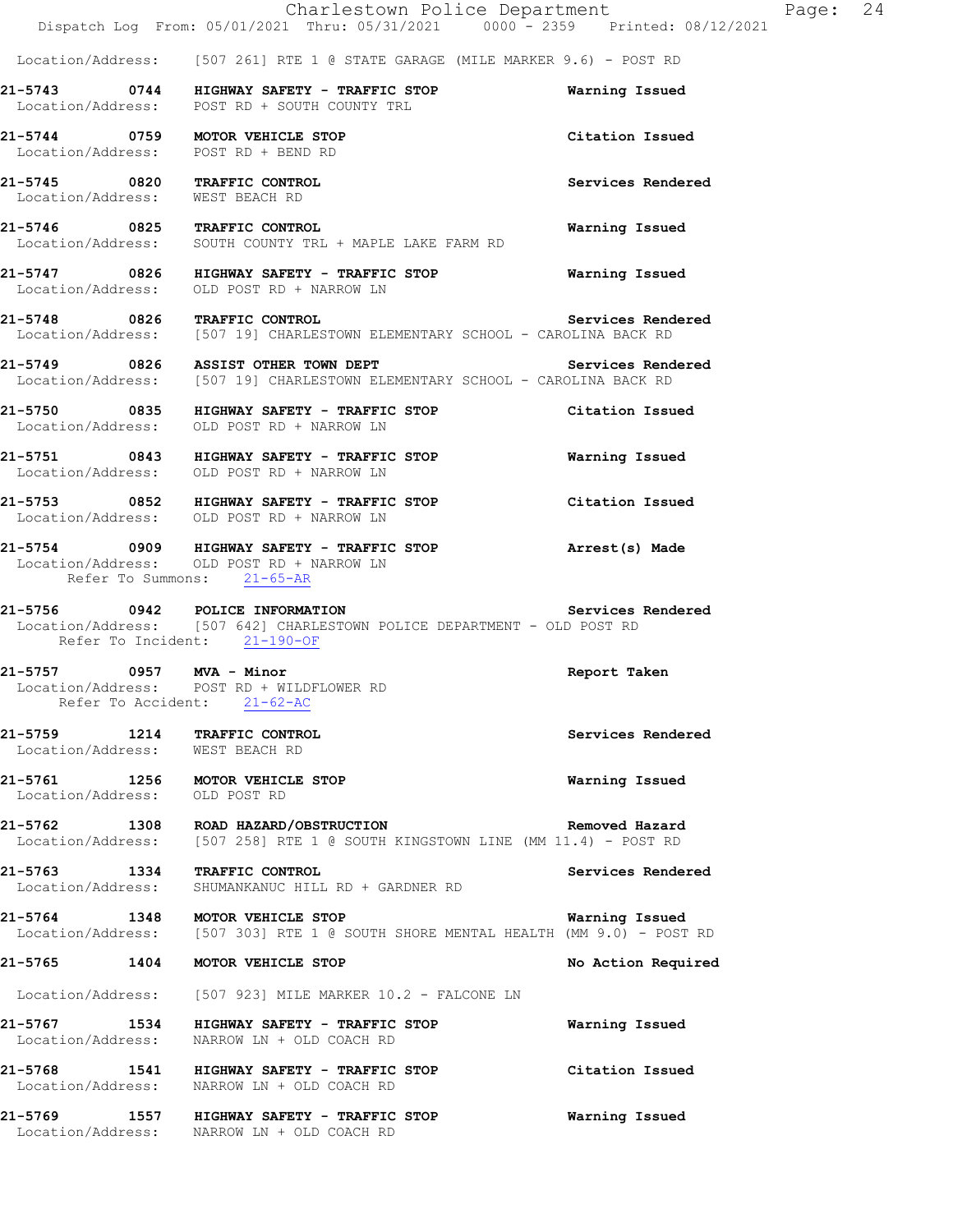Location/Address: [507 261] RTE 1 @ STATE GARAGE (MILE MARKER 9.6) - POST RD

- **21-5743 0744 HIGHWAY SAFETY TRAFFIC STOP Warning Issued**  Location/Address: POST RD + SOUTH COUNTY TRL
- **21-5744 0759 MOTOR VEHICLE STOP Citation Issued**  Location/Address: POST RD + BEND RD
- 
- 21-5745 0820 TRAFFIC CONTROL **Services Rendered** Services Rendered Services Rendered **Services** Rendered **Services** Rendered Location/Address:
- **21-5746 0825 TRAFFIC CONTROL Warning Issued**  Location/Address: SOUTH COUNTY TRL + MAPLE LAKE FARM RD
- **21-5747 0826 HIGHWAY SAFETY TRAFFIC STOP Warning Issued**  Location/Address: OLD POST RD + NARROW LN
- **21-5748 0826 TRAFFIC CONTROL Services Rendered**  Location/Address: [507 19] CHARLESTOWN ELEMENTARY SCHOOL - CAROLINA BACK RD
- **21-5749 0826 ASSIST OTHER TOWN DEPT Services Rendered**  Location/Address: [507 19] CHARLESTOWN ELEMENTARY SCHOOL - CAROLINA BACK RD
- **21-5750 0835 HIGHWAY SAFETY TRAFFIC STOP Citation Issued**  Location/Address: OLD POST RD + NARROW LN
- **21-5751 0843 HIGHWAY SAFETY TRAFFIC STOP Warning Issued**
- Location/Address: OLD POST RD + NARROW LN
- **21-5753 0852 HIGHWAY SAFETY TRAFFIC STOP Citation Issued**  Location/Address: OLD POST RD + NARROW LN
- **21-5754 0909 HIGHWAY SAFETY TRAFFIC STOP Arrest(s) Made**  Location/Address: OLD POST RD + NARROW LN Refer To Summons: 21-65-AR
- **21-5756 0942 POLICE INFORMATION Services Rendered**  Location/Address: [507 642] CHARLESTOWN POLICE DEPARTMENT - OLD POST RD Refer To Incident: 21-190-OF
- **21-5757 0957 MVA Minor Report Taken**  Location/Address: POST RD + WILDFLOWER RD Refer To Accident: 21-62-AC
- **21-5759 1214 TRAFFIC CONTROL Services Rendered**  Location/Address: WEST BEACH RD
- **21-5761 1256 MOTOR VEHICLE STOP Warning Issued**  Location/Address: OLD POST RD
- **21-5762 1308 ROAD HAZARD/OBSTRUCTION Removed Hazard**  Location/Address: [507 258] RTE 1 @ SOUTH KINGSTOWN LINE (MM 11.4) - POST RD
- 21-5763 1334 TRAFFIC CONTROL **Information** Services Rendered Location/Address: SHUMANKANUC HILL RD + GARDNER RD SHUMANKANUC HILL RD + GARDNER RD
- **21-5764 1348 MOTOR VEHICLE STOP Warning Issued**<br>Location/Address: [507 303] RTE 1 @ SOUTH SHORE MENTAL HEALTH (MM 9.0) POST [507 303] RTE 1 @ SOUTH SHORE MENTAL HEALTH (MM 9.0) - POST RD
- **21-5765 1404 MOTOR VEHICLE STOP No Action Required**
- Location/Address: [507 923] MILE MARKER 10.2 FALCONE LN
- **21-5767 1534 HIGHWAY SAFETY TRAFFIC STOP Warning Issued**  Location/Address: NARROW LN + OLD COACH RD
- **21-5768 1541 HIGHWAY SAFETY TRAFFIC STOP Citation Issued**  Location/Address: NARROW LN + OLD COACH RD
- **21-5769 1557 HIGHWAY SAFETY TRAFFIC STOP Warning Issued**  Location/Address: NARROW LN + OLD COACH RD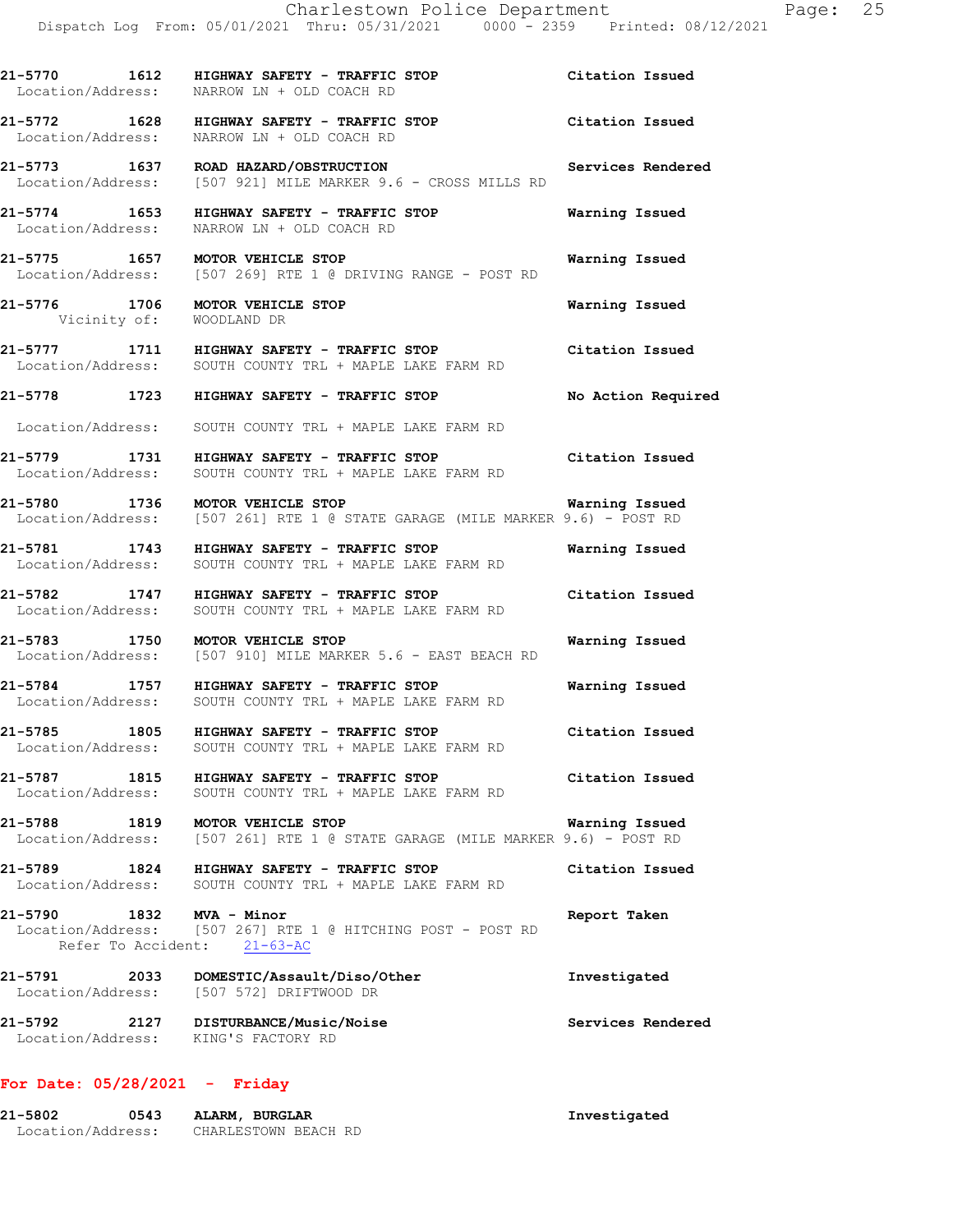**21-5770 1612 HIGHWAY SAFETY - TRAFFIC STOP Citation Issued**  Location/Address: NARROW LN + OLD COACH RD **21-5772 1628 HIGHWAY SAFETY - TRAFFIC STOP Citation Issued**  Location/Address: NARROW LN + OLD COACH RD **21-5773 1637 ROAD HAZARD/OBSTRUCTION Services Rendered**  Location/Address: [507 921] MILE MARKER 9.6 - CROSS MILLS RD **21-5774 1653 HIGHWAY SAFETY - TRAFFIC STOP Warning Issued**  Location/Address: NARROW LN + OLD COACH RD **21-5775 1657 MOTOR VEHICLE STOP Warning Issued**  Location/Address: [507 269] RTE 1 @ DRIVING RANGE - POST RD **21-5776 1706 MOTOR VEHICLE STOP Warning Issued**  Vicinity of: WOODLAND DR **21-5777 1711 HIGHWAY SAFETY - TRAFFIC STOP Citation Issued**  Location/Address: SOUTH COUNTY TRL + MAPLE LAKE FARM RD **21-5778 1723 HIGHWAY SAFETY - TRAFFIC STOP No Action Required**  Location/Address: SOUTH COUNTY TRL + MAPLE LAKE FARM RD **21-5779 1731 HIGHWAY SAFETY - TRAFFIC STOP Citation Issued**  Location/Address: SOUTH COUNTY TRL + MAPLE LAKE FARM RD **21-5780 1736 MOTOR VEHICLE STOP Warning Issued**  Location/Address: [507 261] RTE 1 @ STATE GARAGE (MILE MARKER 9.6) - POST RD **21-5781 1743 HIGHWAY SAFETY - TRAFFIC STOP Warning Issued**  Location/Address: SOUTH COUNTY TRL + MAPLE LAKE FARM RD **21-5782 1747 HIGHWAY SAFETY - TRAFFIC STOP Citation Issued**  Location/Address: SOUTH COUNTY TRL + MAPLE LAKE FARM RD **21-5783 1750 MOTOR VEHICLE STOP Warning Issued**  Location/Address: [507 910] MILE MARKER 5.6 - EAST BEACH RD **21-5784 1757 HIGHWAY SAFETY - TRAFFIC STOP Warning Issued**  Location/Address: SOUTH COUNTY TRL + MAPLE LAKE FARM RD **21-5785 1805 HIGHWAY SAFETY - TRAFFIC STOP Citation Issued**  Location/Address: SOUTH COUNTY TRL + MAPLE LAKE FARM RD **21-5787 1815 HIGHWAY SAFETY - TRAFFIC STOP Citation Issued**  Location/Address: SOUTH COUNTY TRL + MAPLE LAKE FARM RD

**21-5788 1819 MOTOR VEHICLE STOP Warning Issued**  Location/Address: [507 261] RTE 1 @ STATE GARAGE (MILE MARKER 9.6) - POST RD

**21-5789 1824 HIGHWAY SAFETY - TRAFFIC STOP Citation Issued**  Location/Address: SOUTH COUNTY TRL + MAPLE LAKE FARM RD

**21-5790 1832 MVA - Minor Report Taken**  Location/Address: [507 267] RTE 1 @ HITCHING POST - POST RD Refer To Accident: 21-63-AC

**21-5791 2033 DOMESTIC/Assault/Diso/Other Investigated**  Location/Address: [507 572] DRIFTWOOD DR **21-5792 2127 DISTURBANCE/Music/Noise Services Rendered** 

# Location/Address: KING'S FACTORY RD

# **For Date: 05/28/2021 - Friday**

| 21-5802           | 0543 | ALARM, BURGLAR       | Investigated |
|-------------------|------|----------------------|--------------|
| Location/Address: |      | CHARLESTOWN BEACH RD |              |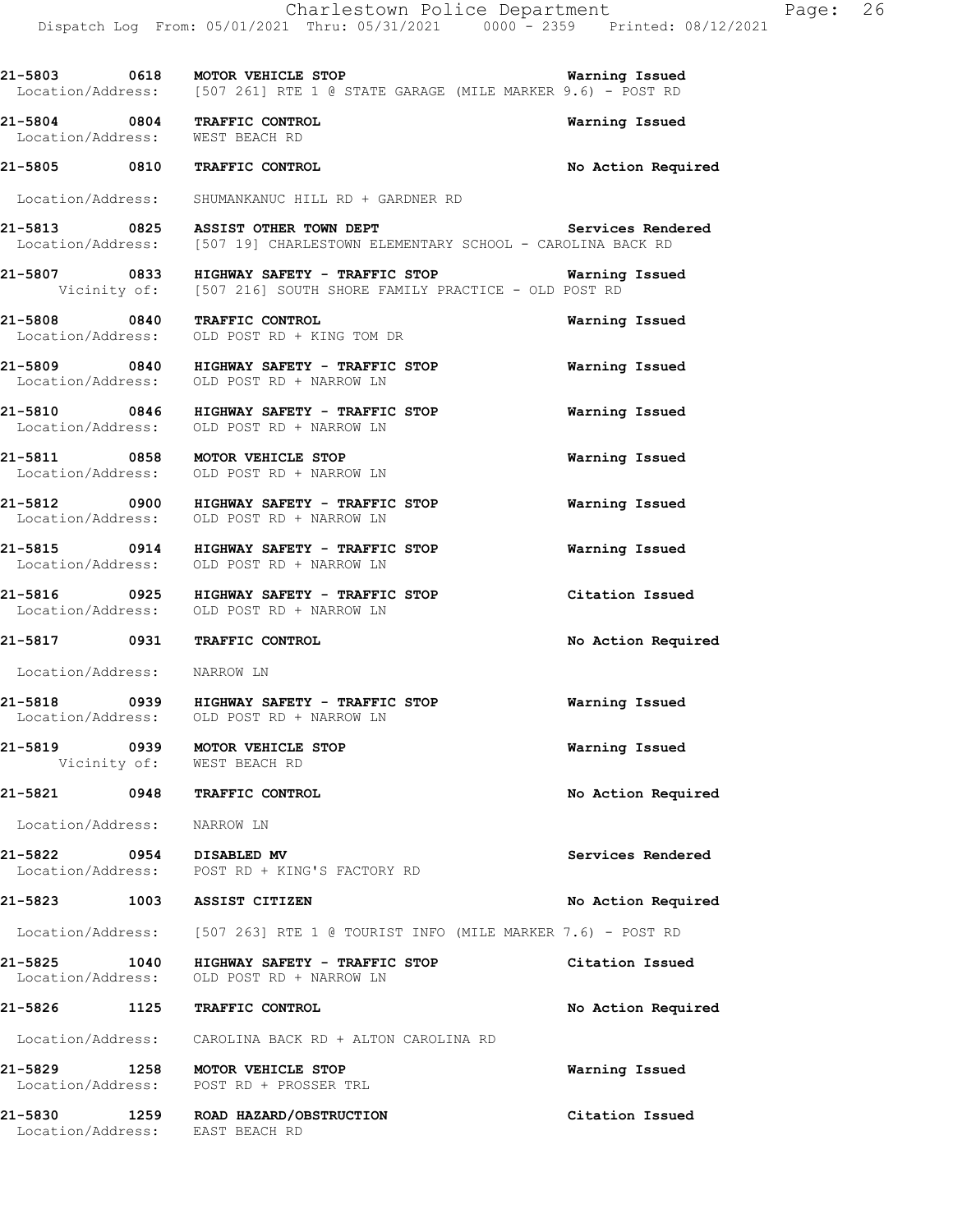| 21-5803 0618                | MOTOR VEHICLE STOP<br>Location/Address: [507 261] RTE 1 @ STATE GARAGE (MILE MARKER 9.6) - POST RD                                            | Warning Issued     |
|-----------------------------|-----------------------------------------------------------------------------------------------------------------------------------------------|--------------------|
|                             | 21-5804 0804 TRAFFIC CONTROL<br>Location/Address: WEST BEACH RD                                                                               | Warning Issued     |
|                             | 21-5805 0810 TRAFFIC CONTROL                                                                                                                  | No Action Required |
|                             | Location/Address: SHUMANKANUC HILL RD + GARDNER RD                                                                                            |                    |
|                             | 21-5813 0825 ASSIST OTHER TOWN DEPT<br>Location/Address: [507 19] CHARLESTOWN ELEMENTARY SCHOOL - CAROLINA BACK RD                            | Services Rendered  |
|                             | 21-5807      0833   HIGHWAY SAFETY - TRAFFIC STOP          Warning Issued<br>Vicinity of: [507 216] SOUTH SHORE FAMILY PRACTICE - OLD POST RD |                    |
|                             | 21-5808 0840 TRAFFIC CONTROL<br>Location/Address: OLD POST RD + KING TOM DR                                                                   | Warning Issued     |
|                             | 21-5809 0840 HIGHWAY SAFETY - TRAFFIC STOP<br>Location/Address: OLD POST RD + NARROW LN                                                       | Warning Issued     |
|                             | 21-5810 0846 HIGHWAY SAFETY - TRAFFIC STOP<br>Location/Address: OLD POST RD + NARROW LN                                                       | Warning Issued     |
|                             | 21-5811 0858 MOTOR VEHICLE STOP<br>Location/Address: OLD POST RD + NARROW LN                                                                  | Warning Issued     |
|                             | 21-5812 0900 HIGHWAY SAFETY - TRAFFIC STOP<br>Location/Address: OLD POST RD + NARROW LN                                                       | Warning Issued     |
|                             | 21-5815 0914 HIGHWAY SAFETY - TRAFFIC STOP<br>Location/Address: OLD POST RD + NARROW LN                                                       | Warning Issued     |
|                             | 21-5816 0925 HIGHWAY SAFETY - TRAFFIC STOP<br>Location/Address: OLD POST RD + NARROW LN                                                       | Citation Issued    |
|                             | 21-5817 0931 TRAFFIC CONTROL                                                                                                                  | No Action Required |
| Location/Address: NARROW LN |                                                                                                                                               |                    |
|                             | 21-5818     0939   HIGHWAY SAFETY - TRAFFIC STOP<br>Location/Address:   OLD POST RD + NARROW LN                                               | Warning Issued     |
|                             | 21-5819 0939 MOTOR VEHICLE STOP<br>Vicinity of: WEST BEACH RD                                                                                 | Warning Issued     |
|                             | 21-5821 0948 TRAFFIC CONTROL                                                                                                                  | No Action Required |
| Location/Address: NARROW LN |                                                                                                                                               |                    |
|                             | 21-5822 0954 DISABLED MV<br>Location/Address: POST RD + KING'S FACTORY RD                                                                     | Services Rendered  |
|                             | 21-5823 1003 ASSIST CITIZEN                                                                                                                   | No Action Required |
|                             | Location/Address: [507 263] RTE 1 @ TOURIST INFO (MILE MARKER 7.6) - POST RD                                                                  |                    |
| 21-5825 1040                | HIGHWAY SAFETY - TRAFFIC STOP<br>Location/Address: OLD POST RD + NARROW LN                                                                    | Citation Issued    |
|                             | 21-5826 1125 TRAFFIC CONTROL                                                                                                                  | No Action Required |
|                             | Location/Address: CAROLINA BACK RD + ALTON CAROLINA RD                                                                                        |                    |
|                             | 21-5829 1258 MOTOR VEHICLE STOP<br>Location/Address: POST RD + PROSSER TRL                                                                    | Warning Issued     |
| 21-5830                     | 1259 ROAD HAZARD/OBSTRUCTION<br>Location/Address: EAST BEACH RD                                                                               | Citation Issued    |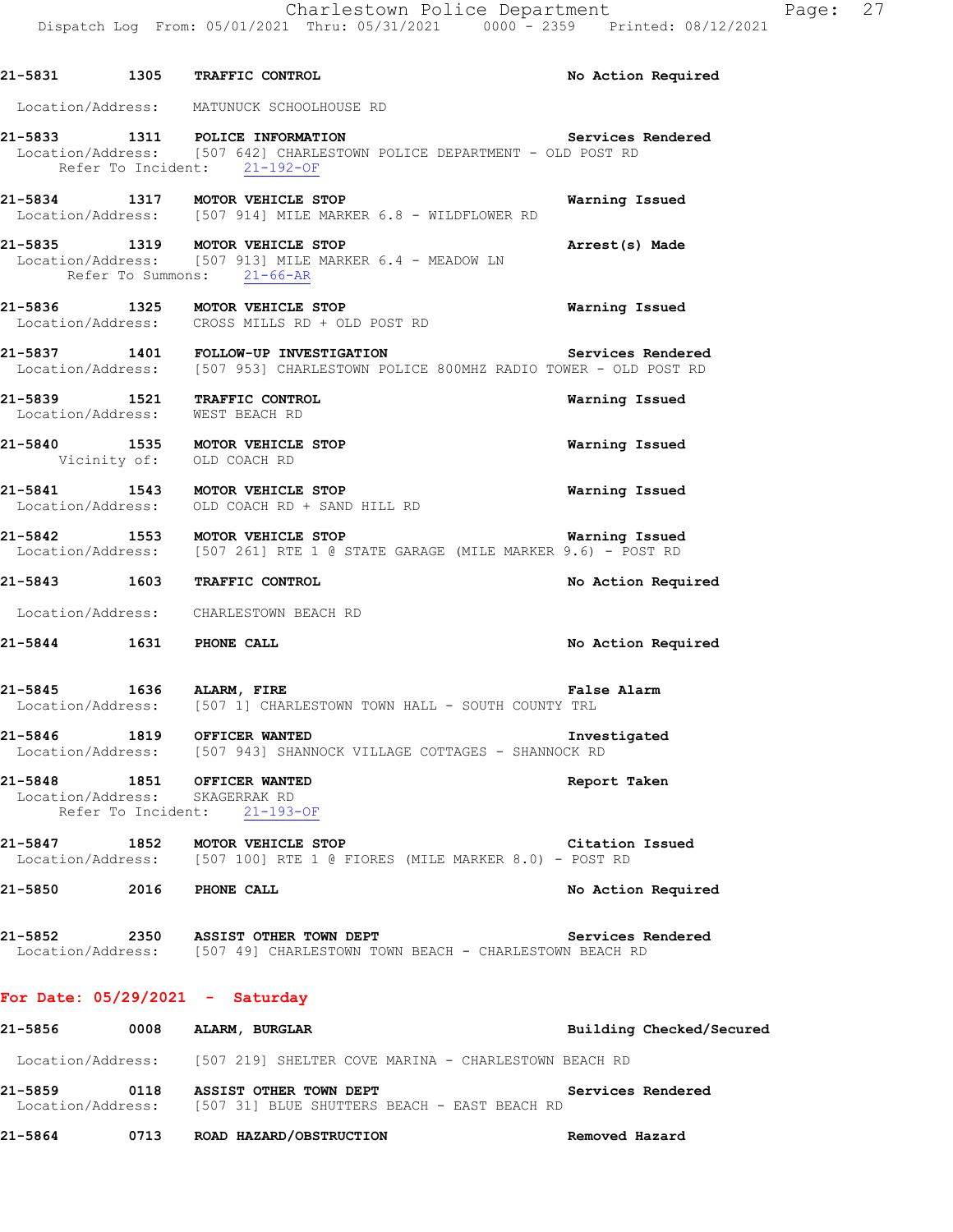|  | 21-5831 1305 TRAFFIC CONTROL                                                                                                                        | No Action Required       |
|--|-----------------------------------------------------------------------------------------------------------------------------------------------------|--------------------------|
|  | Location/Address: MATUNUCK SCHOOLHOUSE RD                                                                                                           |                          |
|  | 21-5833 1311 POLICE INFORMATION<br>Location/Address: [507 642] CHARLESTOWN POLICE DEPARTMENT - OLD POST RD<br>Refer To Incident: 21-192-OF          | Services Rendered        |
|  | 21-5834 1317 MOTOR VEHICLE STOP<br>Location/Address: [507 914] MILE MARKER 6.8 - WILDFLOWER RD                                                      | Warning Issued           |
|  | 21-5835 1319 MOTOR VEHICLE STOP<br>Location/Address: [507 913] MILE MARKER 6.4 - MEADOW LN<br>Refer To Summons: 21-66-AR                            | Arrest(s) Made           |
|  | 21-5836 1325 MOTOR VEHICLE STOP<br>Location/Address: CROSS MILLS RD + OLD POST RD                                                                   | Warning Issued           |
|  | 21-5837 1401 FOLLOW-UP INVESTIGATION 1990 1991 Services Rendered<br>Location/Address: [507 953] CHARLESTOWN POLICE 800MHZ RADIO TOWER - OLD POST RD |                          |
|  | 21-5839 1521 TRAFFIC CONTROL<br>Location/Address: WEST BEACH RD                                                                                     | Warning Issued           |
|  | 21-5840 1535 MOTOR VEHICLE STOP<br>Vicinity of: OLD COACH RD                                                                                        | Warning Issued           |
|  | 21-5841 1543 MOTOR VEHICLE STOP<br>Location/Address: OLD COACH RD + SAND HILL RD                                                                    | <b>Warning Issued</b>    |
|  | 21-5842 1553 MOTOR VEHICLE STOP<br>Location/Address: [507 261] RTE 1 @ STATE GARAGE (MILE MARKER 9.6) - POST RD                                     | <b>Warning Issued</b>    |
|  | 21-5843 1603 TRAFFIC CONTROL                                                                                                                        | No Action Required       |
|  | Location/Address: CHARLESTOWN BEACH RD                                                                                                              |                          |
|  | 21-5844 1631 PHONE CALL                                                                                                                             | No Action Required       |
|  | 21-5845 1636 ALARM, FIRE<br>Location/Address: [507 1] CHARLESTOWN TOWN HALL - SOUTH COUNTY TRL                                                      | False Alarm              |
|  | 21-5846 1819 OFFICER WANTED<br>Location/Address: [507 943] SHANNOCK VILLAGE COTTAGES - SHANNOCK RD                                                  | Investigated             |
|  | 21-5848 1851 OFFICER WANTED<br>Location/Address: SKAGERRAK RD<br>Refer To Incident: 21-193-OF                                                       | Report Taken             |
|  | 21-5847 1852 MOTOR VEHICLE STOP<br>Location/Address: [507 100] RTE 1 @ FIORES (MILE MARKER 8.0) - POST RD                                           | Citation Issued          |
|  | 21-5850 2016 PHONE CALL                                                                                                                             | No Action Required       |
|  | 21-5852 2350 ASSIST OTHER TOWN DEPT<br>Location/Address: [507 49] CHARLESTOWN TOWN BEACH - CHARLESTOWN BEACH RD                                     | <b>Services Rendered</b> |
|  | For Date: $05/29/2021 -$ Saturday                                                                                                                   |                          |
|  | 21-5856 0008 ALARM, BURGLAR                                                                                                                         | Building Checked/Secured |
|  | Location/Address: [507 219] SHELTER COVE MARINA - CHARLESTOWN BEACH RD                                                                              |                          |
|  | 21-5859 0118 ASSIST OTHER TOWN DEPT<br>Location/Address: [507 31] BLUE SHUTTERS BEACH - EAST BEACH RD                                               | Services Rendered        |
|  | 21-5864 0713 ROAD HAZARD/OBSTRUCTION                                                                                                                | Removed Hazard           |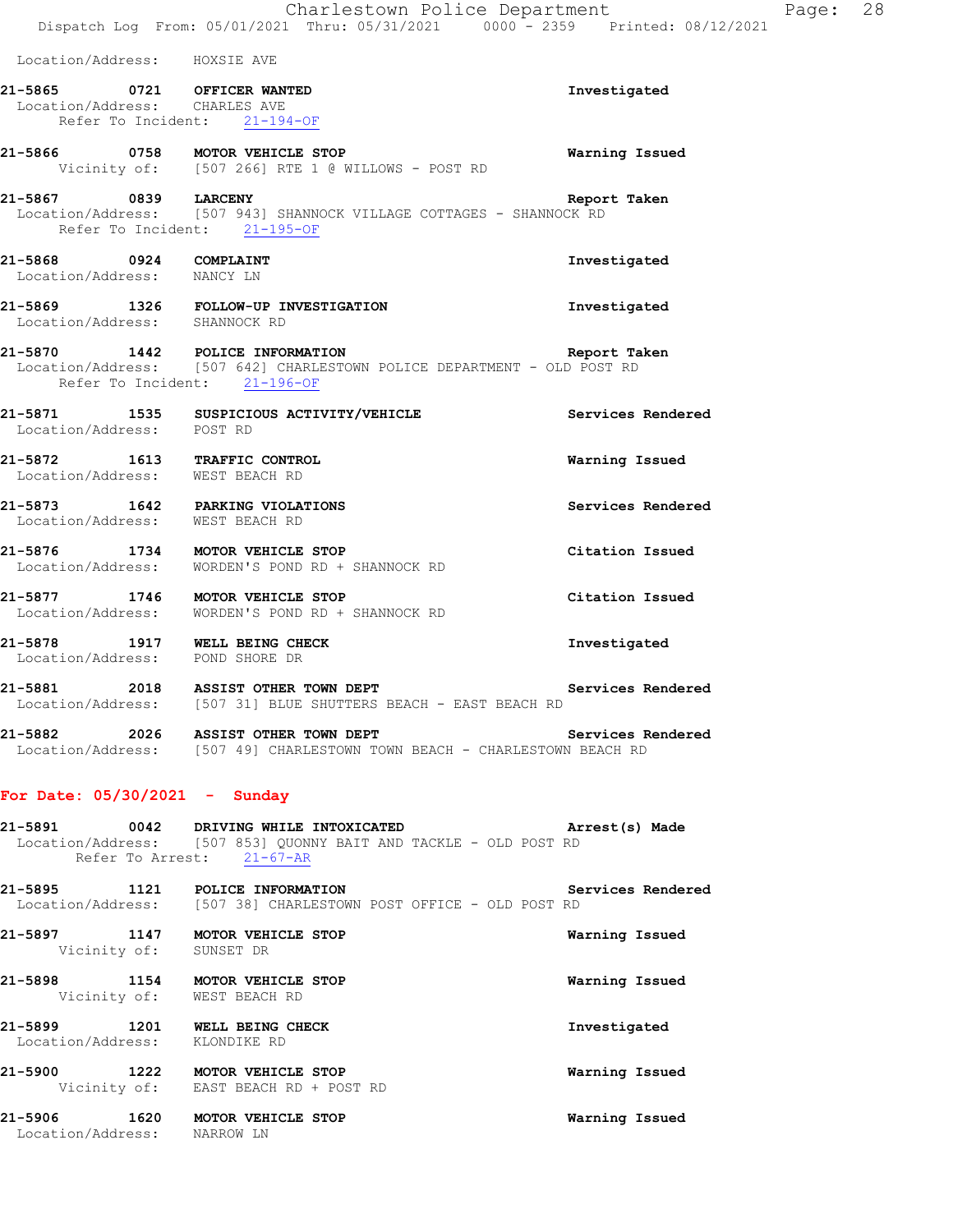Location/Address: HOXSIE AVE

**21-5865 0721 OFFICER WANTED Investigated**  Location/Address: CHARLES AVE Refer To Incident: 21-194-OF **21-5866 0758 MOTOR VEHICLE STOP Warning Issued**  Vicinity of: [507 266] RTE 1 @ WILLOWS - POST RD **21-5867 0839 LARCENY Report Taken**  Location/Address: [507 943] SHANNOCK VILLAGE COTTAGES - SHANNOCK RD Refer To Incident: 21-195-OF **21-5868 0924 COMPLAINT Investigated**  Location/Address: NANCY LN **21-5869 1326 FOLLOW-UP INVESTIGATION Investigated**  Location/Address: SHANNOCK RD **21-5870 1442 POLICE INFORMATION Report Taken**  Location/Address: [507 642] CHARLESTOWN POLICE DEPARTMENT - OLD POST RD Refer To Incident: 21-196-OF **21-5871 1535 SUSPICIOUS ACTIVITY/VEHICLE Services Rendered**  Location/Address: POST RD **21-5872 1613 TRAFFIC CONTROL Warning Issued**  Location/Address: WEST BEACH RD **21-5873 1642 PARKING VIOLATIONS Services Rendered**  Location/Address: WEST BEACH RD **21-5876 1734 MOTOR VEHICLE STOP Citation Issued**  Location/Address: WORDEN'S POND RD + SHANNOCK RD **21-5877 1746 MOTOR VEHICLE STOP Citation Issued**  Location/Address: WORDEN'S POND RD + SHANNOCK RD **21-5878 1917 WELL BEING CHECK Investigated**  Location/Address: POND SHORE DR 21-5881 2018 ASSIST OTHER TOWN DEPT **Services Rendered Services Rendered Integral Conducts:** [507 31] BLUE SHUTTERS BEACH - EAST BEACH RD [507 31] BLUE SHUTTERS BEACH - EAST BEACH RD

**21-5882 2026 ASSIST OTHER TOWN DEPT Services Rendered**  Location/Address: [507 49] CHARLESTOWN TOWN BEACH - CHARLESTOWN BEACH RD

## **For Date: 05/30/2021 - Sunday**

**21-5891 0042 DRIVING WHILE INTOXICATED Arrest(s) Made**  Location/Address: [507 853] QUONNY BAIT AND TACKLE - OLD POST RD Refer To Arrest: 21-67-AR

**21-5895 1121 POLICE INFORMATION Services Rendered**  Location/Address: [507 38] CHARLESTOWN POST OFFICE - OLD POST RD

| 21-5897                      | 1147<br>Vicinity of: | MOTOR VEHICLE STOP<br>SUNSET DR     | Warning Issued |
|------------------------------|----------------------|-------------------------------------|----------------|
| 21-5898                      | 1154<br>Vicinity of: | MOTOR VEHICLE STOP<br>WEST BEACH RD | Warning Issued |
| 21-5899<br>Location/Address: | 1201                 | WELL BEING CHECK<br>KLONDIKE RD     | Investigated   |

**21-5900 1222 MOTOR VEHICLE STOP Warning Issued**  Vicinity of: EAST BEACH RD + POST RD

**21-5906 1620 MOTOR VEHICLE STOP Warning Issued**  Location/Address: NARROW LN